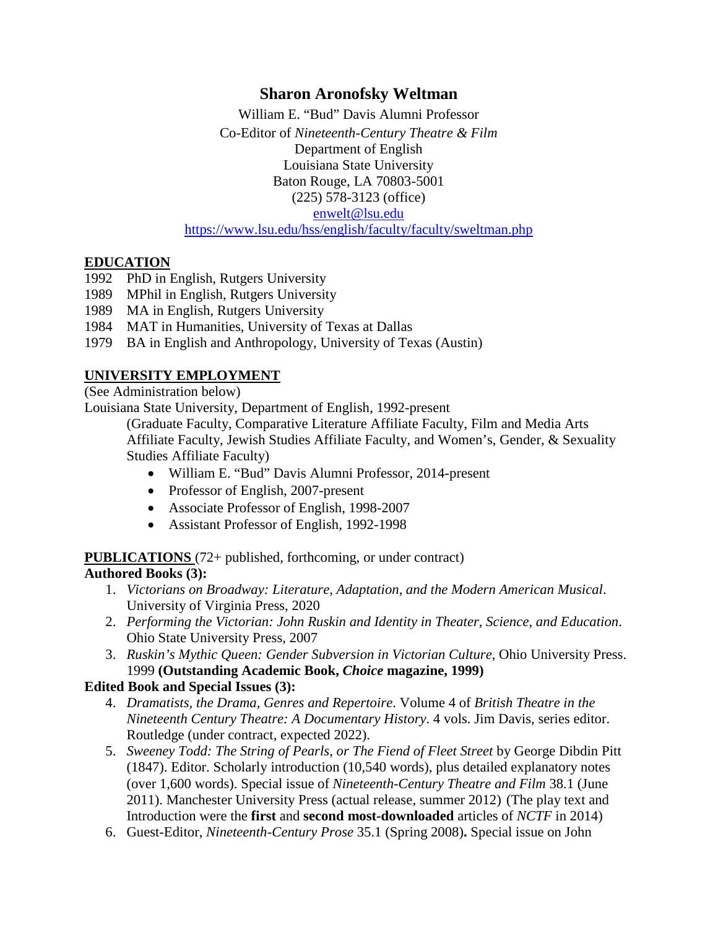## **Sharon Aronofsky Weltman**

William E. "Bud" Davis Alumni Professor Co-Editor of *Nineteenth-Century Theatre & Film* Department of English Louisiana State University Baton Rouge, LA 70803-5001 (225) 578-3123 (office)

[enwelt@lsu.edu](mailto:enwelt@lsu.edu)

<https://www.lsu.edu/hss/english/faculty/faculty/sweltman.php>

### **EDUCATION**

- 1992 PhD in English, Rutgers University
- 1989 MPhil in English, Rutgers University
- 1989 MA in English, Rutgers University
- 1984 MAT in Humanities, University of Texas at Dallas
- 1979 BA in English and Anthropology, University of Texas (Austin)

## **UNIVERSITY EMPLOYMENT**

(See Administration below)

Louisiana State University, Department of English, 1992-present

(Graduate Faculty, Comparative Literature Affiliate Faculty, Film and Media Arts Affiliate Faculty, Jewish Studies Affiliate Faculty, and Women's, Gender, & Sexuality Studies Affiliate Faculty)

- William E. "Bud" Davis Alumni Professor, 2014-present
- Professor of English, 2007-present
- Associate Professor of English, 1998-2007
- Assistant Professor of English, 1992-1998

**PUBLICATIONS** (72+ published, forthcoming, or under contract)

## **Authored Books (3):**

- 1. *Victorians on Broadway: Literature, Adaptation, and the Modern American Musical*. University of Virginia Press, 2020
- 2. *Performing the Victorian: John Ruskin and Identity in Theater, Science, and Education*. Ohio State University Press, 2007
- 3. *Ruskin's Mythic Queen: Gender Subversion in Victorian Culture*, Ohio University Press. 1999 **(Outstanding Academic Book,** *Choice* **magazine, 1999)**

## **Edited Book and Special Issues (3):**

- 4. *Dramatists, the Drama, Genres and Repertoire*. Volume 4 of *British Theatre in the Nineteenth Century Theatre: A Documentary History*. 4 vols. Jim Davis, series editor. Routledge (under contract, expected 2022).
- 5. *Sweeney Todd: The String of Pearls, or The Fiend of Fleet Street* by George Dibdin Pitt (1847). Editor. Scholarly introduction (10,540 words), plus detailed explanatory notes (over 1,600 words). Special issue of *Nineteenth-Century Theatre and Film* 38.1 (June 2011). Manchester University Press (actual release, summer 2012) (The play text and Introduction were the **first** and **second most-downloaded** articles of *NCTF* in 2014)
- 6. Guest-Editor, *Nineteenth-Century Prose* 35.1 (Spring 2008)**.** Special issue on John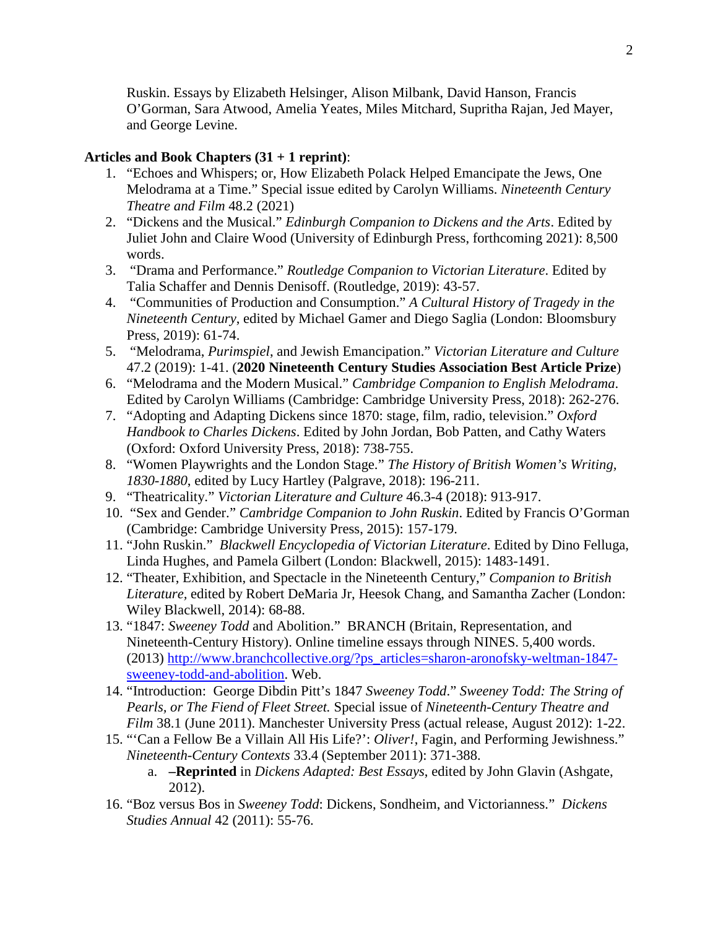Ruskin. Essays by Elizabeth Helsinger, Alison Milbank, David Hanson, Francis O'Gorman, Sara Atwood, Amelia Yeates, Miles Mitchard, Supritha Rajan, Jed Mayer, and George Levine.

### **Articles and Book Chapters (31 + 1 reprint)**:

- 1. "Echoes and Whispers; or, How Elizabeth Polack Helped Emancipate the Jews, One Melodrama at a Time." Special issue edited by Carolyn Williams. *Nineteenth Century Theatre and Film* 48.2 (2021)
- 2. "Dickens and the Musical." *Edinburgh Companion to Dickens and the Arts*. Edited by Juliet John and Claire Wood (University of Edinburgh Press, forthcoming 2021): 8,500 words.
- 3. "Drama and Performance." *Routledge Companion to Victorian Literature*. Edited by Talia Schaffer and Dennis Denisoff. (Routledge, 2019): 43-57.
- 4. "Communities of Production and Consumption." *A Cultural History of Tragedy in the Nineteenth Century*, edited by Michael Gamer and Diego Saglia (London: Bloomsbury Press, 2019): 61-74.
- 5. "Melodrama, *Purimspiel*, and Jewish Emancipation." *Victorian Literature and Culture* 47.2 (2019): 1-41. (**2020 Nineteenth Century Studies Association Best Article Prize**)
- 6. "Melodrama and the Modern Musical." *Cambridge Companion to English Melodrama*. Edited by Carolyn Williams (Cambridge: Cambridge University Press, 2018): 262-276.
- 7. "Adopting and Adapting Dickens since 1870: stage, film, radio, television." *Oxford Handbook to Charles Dickens*. Edited by John Jordan, Bob Patten, and Cathy Waters (Oxford: Oxford University Press, 2018): 738-755.
- 8. "Women Playwrights and the London Stage." *The History of British Women's Writing, 1830-1880*, edited by Lucy Hartley (Palgrave, 2018): 196-211.
- 9. "Theatricality." *Victorian Literature and Culture* 46.3-4 (2018): 913-917.
- 10. "Sex and Gender." *Cambridge Companion to John Ruskin*. Edited by Francis O'Gorman (Cambridge: Cambridge University Press, 2015): 157-179.
- 11. "John Ruskin." *Blackwell Encyclopedia of Victorian Literature*. Edited by Dino Felluga, Linda Hughes, and Pamela Gilbert (London: Blackwell, 2015): 1483-1491.
- 12. "Theater, Exhibition, and Spectacle in the Nineteenth Century," *Companion to British Literature,* edited by Robert DeMaria Jr, Heesok Chang, and Samantha Zacher (London: Wiley Blackwell, 2014): 68-88.
- 13. "1847: *Sweeney Todd* and Abolition." BRANCH (Britain, Representation, and Nineteenth-Century History). Online timeline essays through NINES. 5,400 words. (2013) [http://www.branchcollective.org/?ps\\_articles=sharon-aronofsky-weltman-1847](http://www.branchcollective.org/?ps_articles=sharon-aronofsky-weltman-1847-sweeney-todd-and-abolition) [sweeney-todd-and-abolition.](http://www.branchcollective.org/?ps_articles=sharon-aronofsky-weltman-1847-sweeney-todd-and-abolition) Web.
- 14. "Introduction: George Dibdin Pitt's 1847 *Sweeney Todd*." *Sweeney Todd: The String of Pearls, or The Fiend of Fleet Street.* Special issue of *Nineteenth-Century Theatre and Film* 38.1 (June 2011). Manchester University Press (actual release, August 2012): 1-22.
- 15. "'Can a Fellow Be a Villain All His Life?': *Oliver!*, Fagin, and Performing Jewishness." *Nineteenth-Century Contexts* 33.4 (September 2011): 371-388.
	- a. **–Reprinted** in *Dickens Adapted: Best Essays*, edited by John Glavin (Ashgate, 2012).
- 16. "Boz versus Bos in *Sweeney Todd*: Dickens, Sondheim, and Victorianness." *Dickens Studies Annual* 42 (2011): 55-76.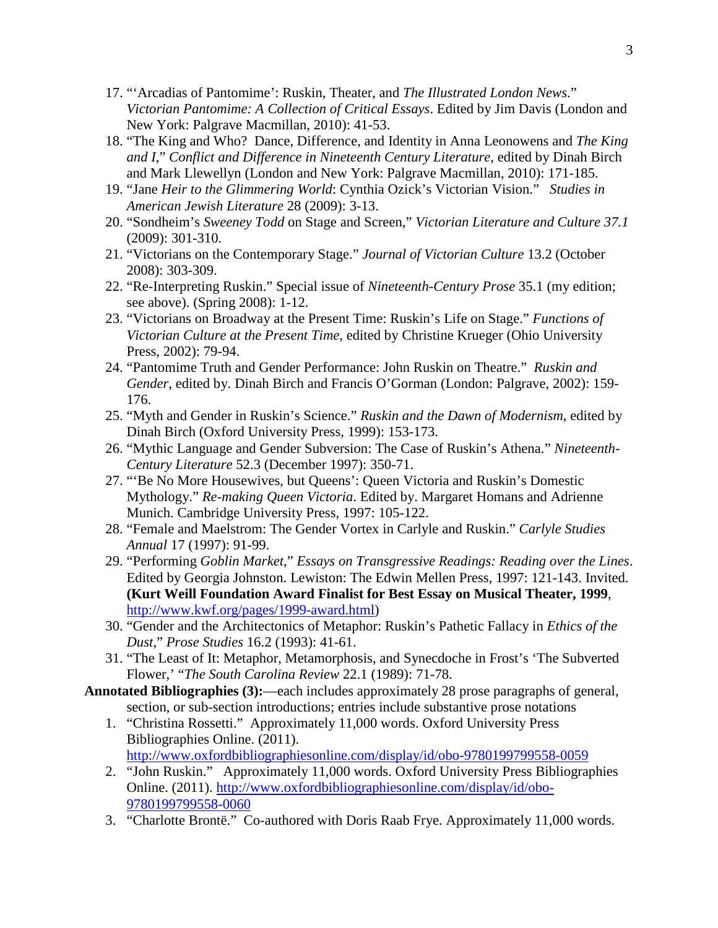- 17. "'Arcadias of Pantomime': Ruskin, Theater, and *The Illustrated London News*." *Victorian Pantomime: A Collection of Critical Essays*. Edited by Jim Davis (London and New York: Palgrave Macmillan, 2010): 41-53.
- 18. "The King and Who? Dance, Difference, and Identity in Anna Leonowens and *The King and I*," *Conflict and Difference in Nineteenth Century Literature*, edited by Dinah Birch and Mark Llewellyn (London and New York: Palgrave Macmillan, 2010): 171-185.
- 19. "Jane *Heir to the Glimmering World*: Cynthia Ozick's Victorian Vision." *Studies in American Jewish Literature* 28 (2009): 3-13.
- 20. "Sondheim's *Sweeney Todd* on Stage and Screen," *Victorian Literature and Culture 37.1* (2009): 301-310.
- 21. "Victorians on the Contemporary Stage." *Journal of Victorian Culture* 13.2 (October 2008): 303-309.
- 22. "Re-Interpreting Ruskin." Special issue of *Nineteenth-Century Prose* 35.1 (my edition; see above). (Spring 2008): 1-12.
- 23. "Victorians on Broadway at the Present Time: Ruskin's Life on Stage." *Functions of Victorian Culture at the Present Time*, edited by Christine Krueger (Ohio University Press, 2002): 79-94.
- 24. "Pantomime Truth and Gender Performance: John Ruskin on Theatre." *Ruskin and Gender*, edited by. Dinah Birch and Francis O'Gorman (London: Palgrave, 2002): 159- 176.
- 25. "Myth and Gender in Ruskin's Science." *Ruskin and the Dawn of Modernism*, edited by Dinah Birch (Oxford University Press, 1999): 153-173.
- 26. "Mythic Language and Gender Subversion: The Case of Ruskin's Athena." *Nineteenth-Century Literature* 52.3 (December 1997): 350-71.
- 27. "'Be No More Housewives, but Queens': Queen Victoria and Ruskin's Domestic Mythology." *Re-making Queen Victoria*. Edited by. Margaret Homans and Adrienne Munich. Cambridge University Press, 1997: 105-122.
- 28. "Female and Maelstrom: The Gender Vortex in Carlyle and Ruskin." *Carlyle Studies Annual* 17 (1997): 91-99.
- 29. "Performing *Goblin Market*," *Essays on Transgressive Readings: Reading over the Lines*. Edited by Georgia Johnston. Lewiston: The Edwin Mellen Press, 1997: 121-143. Invited. **(Kurt Weill Foundation Award Finalist for Best Essay on Musical Theater, 1999**, [http://www.kwf.org/pages/1999-award.html\)](http://www.kwf.org/pages/1999-award.html)
- 30. "Gender and the Architectonics of Metaphor: Ruskin's Pathetic Fallacy in *Ethics of the Dust*," *Prose Studies* 16.2 (1993): 41-61.
- 31. "The Least of It: Metaphor, Metamorphosis, and Synecdoche in Frost's 'The Subverted Flower,' "*The South Carolina Review* 22.1 (1989): 71-78.
- **Annotated Bibliographies (3):**—each includes approximately 28 prose paragraphs of general, section, or sub-section introductions; entries include substantive prose notations
	- 1. "Christina Rossetti." Approximately 11,000 words. Oxford University Press Bibliographies Online. (2011).
		- [http://www.oxfordbibliographiesonline.com/display/id/obo-9780199799558-0059](http://www.oup.com/online/us/obo/?view=usa)
	- 2. "John Ruskin." Approximately 11,000 words. Oxford University Press Bibliographies Online. (2011). [http://www.oxfordbibliographiesonline.com/display/id/obo-](http://www.oxfordbibliographiesonline.com/display/id/obo-9780199799558-0060)[9780199799558-0060](http://www.oxfordbibliographiesonline.com/display/id/obo-9780199799558-0060)
	- 3. "Charlotte Brontë." Co-authored with Doris Raab Frye. Approximately 11,000 words.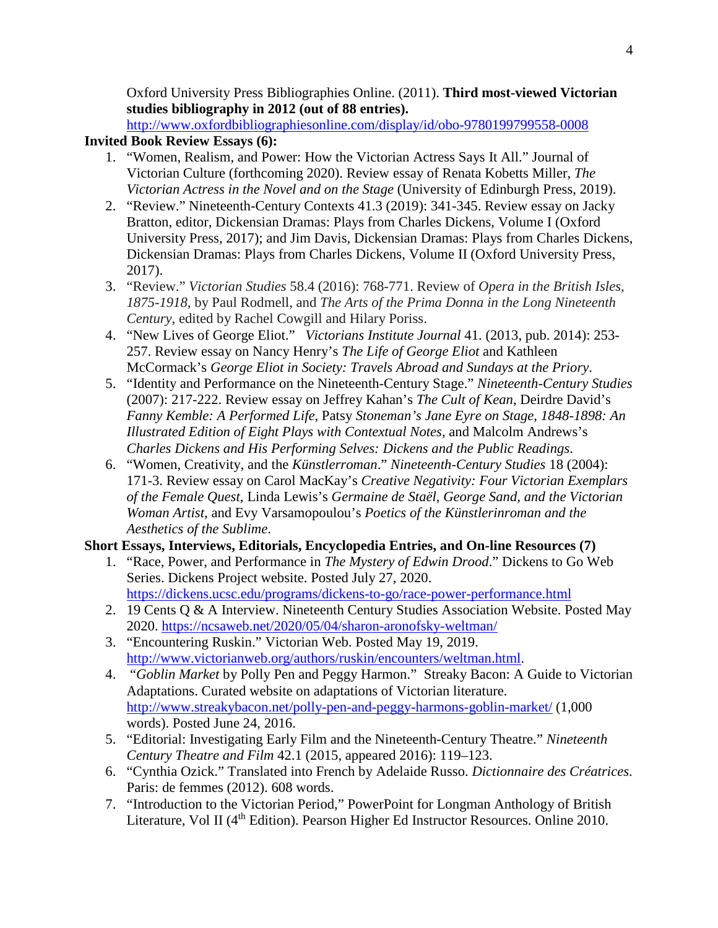Oxford University Press Bibliographies Online. (2011). **Third most-viewed Victorian studies bibliography in 2012 (out of 88 entries).**

[http://www.oxfordbibliographiesonline.com/display/id/obo-9780199799558-0008](http://www.oup.com/online/us/obo/?view=usa)

## **Invited Book Review Essays (6):**

- 1. "Women, Realism, and Power: How the Victorian Actress Says It All." Journal of Victorian Culture (forthcoming 2020). Review essay of Renata Kobetts Miller, *The Victorian Actress in the Novel and on the Stage* (University of Edinburgh Press, 2019).
- 2. "Review." Nineteenth-Century Contexts 41.3 (2019): 341-345. Review essay on Jacky Bratton, editor, Dickensian Dramas: Plays from Charles Dickens, Volume I (Oxford University Press, 2017); and Jim Davis, Dickensian Dramas: Plays from Charles Dickens, Dickensian Dramas: Plays from Charles Dickens, Volume II (Oxford University Press, 2017).
- 3. "Review." *Victorian Studies* 58.4 (2016): 768-771. Review of *Opera in the British Isles, 1875-1918*, by Paul Rodmell, and *The Arts of the Prima Donna in the Long Nineteenth Century*, edited by Rachel Cowgill and Hilary Poriss.
- 4. "New Lives of George Eliot." *Victorians Institute Journal* 41. (2013, pub. 2014): 253- 257. Review essay on Nancy Henry's *The Life of George Eliot* and Kathleen McCormack's *George Eliot in Society: Travels Abroad and Sundays at the Priory*.
- 5. "Identity and Performance on the Nineteenth-Century Stage." *Nineteenth-Century Studies* (2007): 217-222. Review essay on Jeffrey Kahan's *The Cult of Kean*, Deirdre David's *Fanny Kemble: A Performed Life*, Patsy *Stoneman's Jane Eyre on Stage, 1848-1898: An Illustrated Edition of Eight Plays with Contextual Notes*, and Malcolm Andrews's *Charles Dickens and His Performing Selves: Dickens and the Public Readings*.
- 6. "Women, Creativity, and the *Künstlerroman*." *Nineteenth-Century Studies* 18 (2004): 171-3. Review essay on Carol MacKay's *Creative Negativity: Four Victorian Exemplars of the Female Quest*, Linda Lewis's *Germaine de Staël, George Sand, and the Victorian Woman Artist*, and Evy Varsamopoulou's *Poetics of the Künstlerinroman and the Aesthetics of the Sublime*.

## **Short Essays, Interviews, Editorials, Encyclopedia Entries, and On-line Resources (7)**

- 1. "Race, Power, and Performance in *The Mystery of Edwin Drood*." Dickens to Go Web Series. Dickens Project website. Posted July 27, 2020. <https://dickens.ucsc.edu/programs/dickens-to-go/race-power-performance.html>
- 2. 19 Cents Q & A Interview. Nineteenth Century Studies Association Website. Posted May 2020. <https://ncsaweb.net/2020/05/04/sharon-aronofsky-weltman/>
- 3. "Encountering Ruskin." Victorian Web. Posted May 19, 2019. [http://www.victorianweb.org/authors/ruskin/encounters/weltman.html.](http://www.victorianweb.org/authors/ruskin/encounters/weltman.html)
- 4. "*Goblin Market* by Polly Pen and Peggy Harmon." Streaky Bacon: A Guide to Victorian Adaptations. Curated website on adaptations of Victorian literature. <http://www.streakybacon.net/polly-pen-and-peggy-harmons-goblin-market/> (1,000 words). Posted June 24, 2016.
- 5. "Editorial: Investigating Early Film and the Nineteenth-Century Theatre." *Nineteenth Century Theatre and Film* 42.1 (2015, appeared 2016): 119–123.
- 6. "Cynthia Ozick." Translated into French by Adelaide Russo. *Dictionnaire des Créatrices*. Paris: de femmes (2012). 608 words.
- 7. "Introduction to the Victorian Period," PowerPoint for Longman Anthology of British Literature, Vol II (4<sup>th</sup> Edition). Pearson Higher Ed Instructor Resources. Online 2010.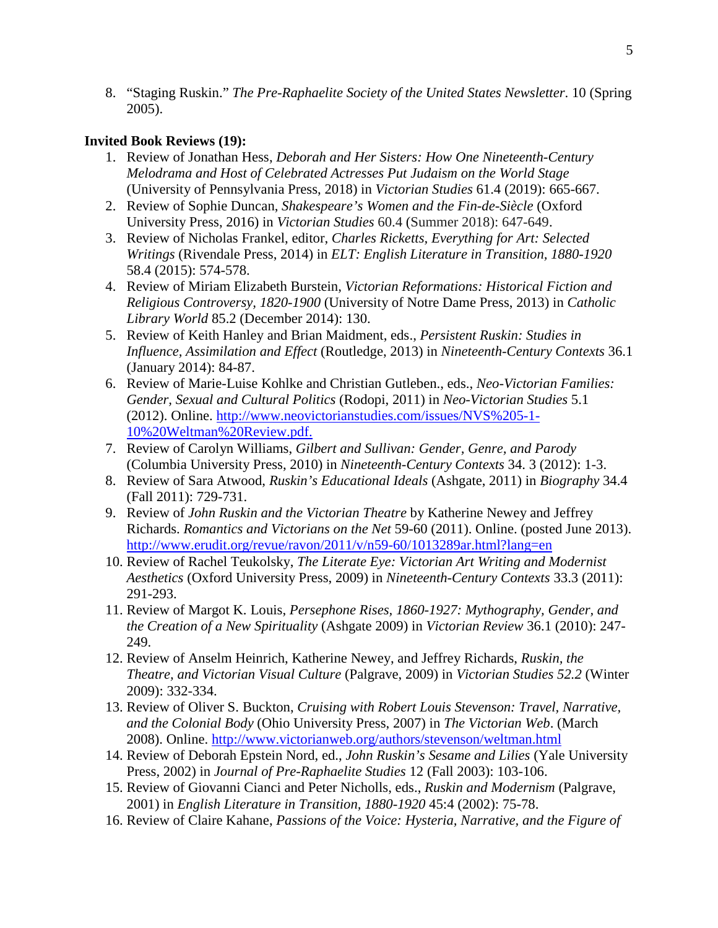8. "Staging Ruskin." *The Pre-Raphaelite Society of the United States Newsletter*. 10 (Spring 2005).

## **Invited Book Reviews (19):**

- 1. Review of Jonathan Hess, *Deborah and Her Sisters: How One Nineteenth-Century Melodrama and Host of Celebrated Actresses Put Judaism on the World Stage* (University of Pennsylvania Press, 2018) in *Victorian Studies* 61.4 (2019): 665-667.
- 2. Review of Sophie Duncan, *Shakespeare's Women and the Fin-de-Siècle* (Oxford University Press, 2016) in *Victorian Studies* 60.4 (Summer 2018): 647-649.
- 3. Review of Nicholas Frankel, editor, *Charles Ricketts, Everything for Art: Selected Writings* (Rivendale Press, 2014) in *ELT: English Literature in Transition, 1880-1920*  58.4 (2015): 574-578.
- 4. Review of Miriam Elizabeth Burstein, *Victorian Reformations: Historical Fiction and Religious Controversy, 1820-1900* (University of Notre Dame Press, 2013) in *Catholic Library World* 85.2 (December 2014): 130.
- 5. Review of Keith Hanley and Brian Maidment, eds., *Persistent Ruskin: Studies in Influence, Assimilation and Effect* (Routledge, 2013) in *Nineteenth-Century Contexts* 36.1 (January 2014): 84-87.
- 6. Review of Marie-Luise Kohlke and Christian Gutleben., eds., *Neo-Victorian Families: Gender, Sexual and Cultural Politics* (Rodopi, 2011) in *Neo-Victorian Studies* 5.1 (2012). Online. [http://www.neovictorianstudies.com/issues/NVS%205-1-](http://www.neovictorianstudies.com/issues/NVS%205-1-10%20Weltman%20Review.pdf) [10%20Weltman%20Review.pdf.](http://www.neovictorianstudies.com/issues/NVS%205-1-10%20Weltman%20Review.pdf)
- 7. Review of Carolyn Williams, *Gilbert and Sullivan: Gender, Genre, and Parody* (Columbia University Press, 2010) in *Nineteenth-Century Contexts* 34. 3 (2012): 1-3.
- 8. Review of Sara Atwood, *Ruskin's Educational Ideals* (Ashgate, 2011) in *Biography* 34.4 (Fall 2011): 729-731.
- 9. Review of *John Ruskin and the Victorian Theatre* by Katherine Newey and Jeffrey Richards. *Romantics and Victorians on the Net* 59-60 (2011). Online. (posted June 2013). <http://www.erudit.org/revue/ravon/2011/v/n59-60/1013289ar.html?lang=en>
- 10. Review of Rachel Teukolsky, *The Literate Eye: Victorian Art Writing and Modernist Aesthetics* (Oxford University Press, 2009) in *Nineteenth-Century Contexts* 33.3 (2011): 291-293.
- 11. Review of Margot K. Louis, *Persephone Rises, 1860-1927: Mythography, Gender, and the Creation of a New Spirituality* (Ashgate 2009) in *Victorian Review* 36.1 (2010): 247- 249.
- 12. Review of Anselm Heinrich, Katherine Newey, and Jeffrey Richards, *Ruskin, the Theatre, and Victorian Visual Culture* (Palgrave, 2009) in *Victorian Studies 52.2* (Winter 2009): 332-334.
- 13. Review of Oliver S. Buckton, *Cruising with Robert Louis Stevenson: Travel, Narrative, and the Colonial Body* (Ohio University Press, 2007) in *The Victorian Web*. (March 2008). Online. http://www.victorianweb.org/authors/stevenson/weltman.html
- 14. Review of Deborah Epstein Nord, ed., *John Ruskin's Sesame and Lilies* (Yale University Press, 2002) in *Journal of Pre-Raphaelite Studies* 12 (Fall 2003): 103-106.
- 15. Review of Giovanni Cianci and Peter Nicholls, eds., *Ruskin and Modernism* (Palgrave, 2001) in *English Literature in Transition, 1880-1920* 45:4 (2002): 75-78.
- 16. Review of Claire Kahane, *Passions of the Voice: Hysteria, Narrative, and the Figure of*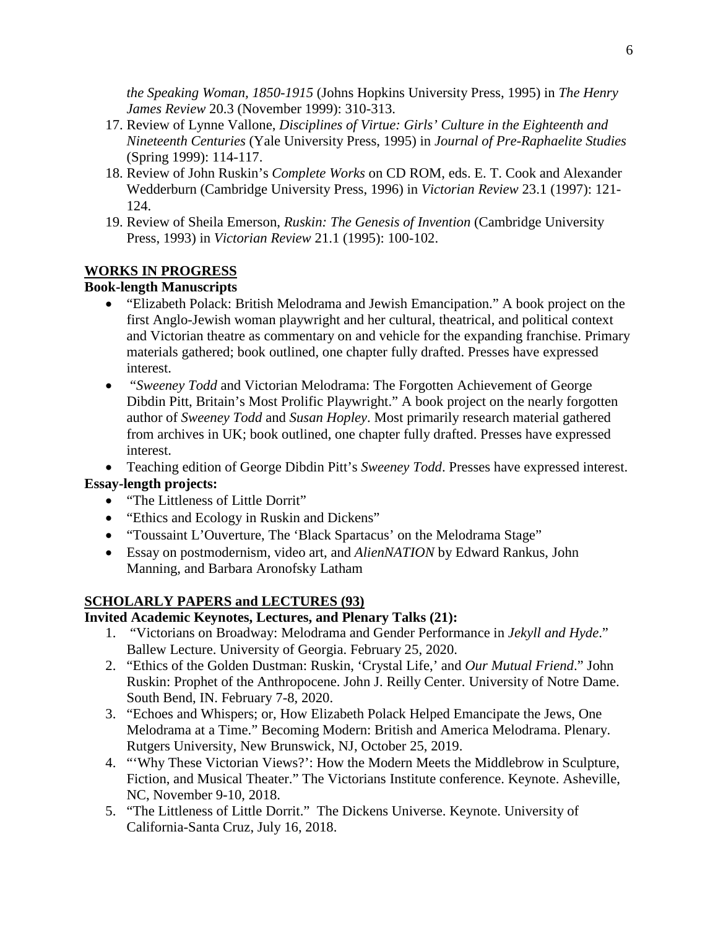*the Speaking Woman, 1850-1915* (Johns Hopkins University Press, 1995) in *The Henry James Review* 20.3 (November 1999): 310-313.

- 17. Review of Lynne Vallone, *Disciplines of Virtue: Girls' Culture in the Eighteenth and Nineteenth Centuries* (Yale University Press, 1995) in *Journal of Pre-Raphaelite Studies* (Spring 1999): 114-117.
- 18. Review of John Ruskin's *Complete Works* on CD ROM, eds. E. T. Cook and Alexander Wedderburn (Cambridge University Press, 1996) in *Victorian Review* 23.1 (1997): 121- 124.
- 19. Review of Sheila Emerson, *Ruskin: The Genesis of Invention* (Cambridge University Press, 1993) in *Victorian Review* 21.1 (1995): 100-102.

### **WORKS IN PROGRESS**

## **Book-length Manuscripts**

- "Elizabeth Polack: British Melodrama and Jewish Emancipation." A book project on the first Anglo-Jewish woman playwright and her cultural, theatrical, and political context and Victorian theatre as commentary on and vehicle for the expanding franchise. Primary materials gathered; book outlined, one chapter fully drafted. Presses have expressed interest.
- "*Sweeney Todd* and Victorian Melodrama: The Forgotten Achievement of George Dibdin Pitt, Britain's Most Prolific Playwright." A book project on the nearly forgotten author of *Sweeney Todd* and *Susan Hopley*. Most primarily research material gathered from archives in UK; book outlined, one chapter fully drafted. Presses have expressed interest.

• Teaching edition of George Dibdin Pitt's *Sweeney Todd*. Presses have expressed interest. **Essay-length projects:**

- "The Littleness of Little Dorrit"
- "Ethics and Ecology in Ruskin and Dickens"
- "Toussaint L'Ouverture, The 'Black Spartacus' on the Melodrama Stage"
- Essay on postmodernism, video art, and *AlienNATION* by Edward Rankus, John Manning, and Barbara Aronofsky Latham

## **SCHOLARLY PAPERS and LECTURES (93)**

### **Invited Academic Keynotes, Lectures, and Plenary Talks (21):**

- 1. "Victorians on Broadway: Melodrama and Gender Performance in *Jekyll and Hyde*." Ballew Lecture. University of Georgia. February 25, 2020.
- 2. "Ethics of the Golden Dustman: Ruskin, 'Crystal Life,' and *Our Mutual Friend*." John Ruskin: Prophet of the Anthropocene. John J. Reilly Center. University of Notre Dame. South Bend, IN. February 7-8, 2020.
- 3. "Echoes and Whispers; or, How Elizabeth Polack Helped Emancipate the Jews, One Melodrama at a Time." Becoming Modern: British and America Melodrama. Plenary. Rutgers University, New Brunswick, NJ, October 25, 2019.
- 4. "'Why These Victorian Views?': How the Modern Meets the Middlebrow in Sculpture, Fiction, and Musical Theater." The Victorians Institute conference. Keynote. Asheville, NC, November 9-10, 2018.
- 5. "The Littleness of Little Dorrit." The Dickens Universe. Keynote. University of California-Santa Cruz, July 16, 2018.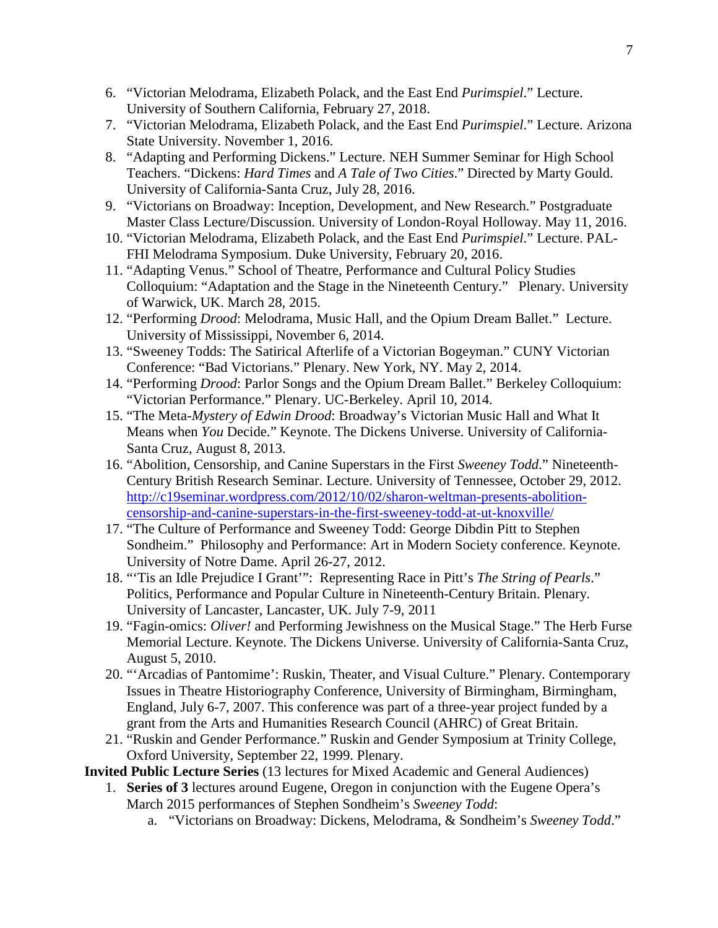- 6. "Victorian Melodrama, Elizabeth Polack, and the East End *Purimspiel*." Lecture. University of Southern California, February 27, 2018.
- 7. "Victorian Melodrama, Elizabeth Polack, and the East End *Purimspiel*." Lecture. Arizona State University. November 1, 2016.
- 8. "Adapting and Performing Dickens." Lecture. NEH Summer Seminar for High School Teachers. "Dickens: *Hard Times* and *A Tale of Two Cities*." Directed by Marty Gould. University of California-Santa Cruz, July 28, 2016.
- 9. "Victorians on Broadway: Inception, Development, and New Research." Postgraduate Master Class Lecture/Discussion. University of London-Royal Holloway. May 11, 2016.
- 10. "Victorian Melodrama, Elizabeth Polack, and the East End *Purimspiel*." Lecture. PAL-FHI Melodrama Symposium. Duke University, February 20, 2016.
- 11. "Adapting Venus." School of Theatre, Performance and Cultural Policy Studies Colloquium: "Adaptation and the Stage in the Nineteenth Century." Plenary. University of Warwick, UK. March 28, 2015.
- 12. "Performing *Drood*: Melodrama, Music Hall, and the Opium Dream Ballet." Lecture. University of Mississippi, November 6, 2014.
- 13. "Sweeney Todds: The Satirical Afterlife of a Victorian Bogeyman." CUNY Victorian Conference: "Bad Victorians." Plenary. New York, NY. May 2, 2014.
- 14. "Performing *Drood*: Parlor Songs and the Opium Dream Ballet." Berkeley Colloquium: "Victorian Performance." Plenary. UC-Berkeley. April 10, 2014.
- 15. "The Meta-*Mystery of Edwin Drood*: Broadway's Victorian Music Hall and What It Means when *You* Decide." Keynote. The Dickens Universe. University of California-Santa Cruz, August 8, 2013.
- 16. "Abolition, Censorship, and Canine Superstars in the First *Sweeney Todd*." Nineteenth-Century British Research Seminar. Lecture. University of Tennessee, October 29, 2012. [http://c19seminar.wordpress.com/2012/10/02/sharon-weltman-presents-abolition](http://c19seminar.wordpress.com/2012/10/02/sharon-weltman-presents-abolition-censorship-and-canine-superstars-in-the-first-sweeney-todd-at-ut-knoxville/)[censorship-and-canine-superstars-in-the-first-sweeney-todd-at-ut-knoxville/](http://c19seminar.wordpress.com/2012/10/02/sharon-weltman-presents-abolition-censorship-and-canine-superstars-in-the-first-sweeney-todd-at-ut-knoxville/)
- 17. "The Culture of Performance and Sweeney Todd: George Dibdin Pitt to Stephen Sondheim." Philosophy and Performance: Art in Modern Society conference. Keynote. University of Notre Dame. April 26-27, 2012.
- 18. "'Tis an Idle Prejudice I Grant'": Representing Race in Pitt's *The String of Pearls*." Politics, Performance and Popular Culture in Nineteenth-Century Britain. Plenary. University of Lancaster, Lancaster, UK. July 7-9, 2011
- 19. "Fagin-omics: *Oliver!* and Performing Jewishness on the Musical Stage." The Herb Furse Memorial Lecture. Keynote. The Dickens Universe. University of California-Santa Cruz, August 5, 2010.
- 20. "'Arcadias of Pantomime': Ruskin, Theater, and Visual Culture." Plenary. Contemporary Issues in Theatre Historiography Conference, University of Birmingham, Birmingham, England, July 6-7, 2007. This conference was part of a three-year project funded by a grant from the Arts and Humanities Research Council (AHRC) of Great Britain.
- 21. "Ruskin and Gender Performance." Ruskin and Gender Symposium at Trinity College, Oxford University, September 22, 1999. Plenary.
- **Invited Public Lecture Series** (13 lectures for Mixed Academic and General Audiences)
	- 1. **Series of 3** lectures around Eugene, Oregon in conjunction with the Eugene Opera's March 2015 performances of Stephen Sondheim's *Sweeney Todd*:
		- a. "Victorians on Broadway: Dickens, Melodrama, & Sondheim's *Sweeney Todd*."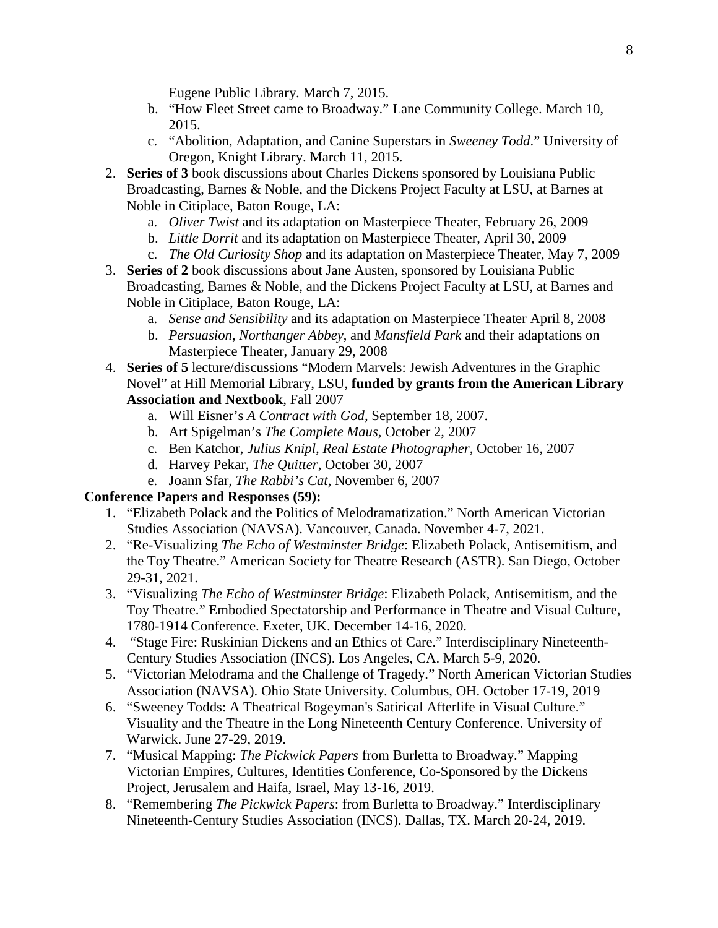Eugene Public Library. March 7, 2015.

- b. "How Fleet Street came to Broadway." Lane Community College. March 10, 2015.
- c. "Abolition, Adaptation, and Canine Superstars in *Sweeney Todd*." University of Oregon, Knight Library. March 11, 2015.
- 2. **Series of 3** book discussions about Charles Dickens sponsored by Louisiana Public Broadcasting, Barnes & Noble, and the Dickens Project Faculty at LSU, at Barnes at Noble in Citiplace, Baton Rouge, LA:
	- a. *Oliver Twist* and its adaptation on Masterpiece Theater, February 26, 2009
	- b. *Little Dorrit* and its adaptation on Masterpiece Theater, April 30, 2009
	- c. *The Old Curiosity Shop* and its adaptation on Masterpiece Theater, May 7, 2009
- 3. **Series of 2** book discussions about Jane Austen, sponsored by Louisiana Public Broadcasting, Barnes & Noble, and the Dickens Project Faculty at LSU, at Barnes and Noble in Citiplace, Baton Rouge, LA:
	- a. *Sense and Sensibility* and its adaptation on Masterpiece Theater April 8, 2008
	- b. *Persuasion*, *Northanger Abbey*, and *Mansfield Park* and their adaptations on Masterpiece Theater, January 29, 2008
- 4. **Series of 5** lecture/discussions "Modern Marvels: Jewish Adventures in the Graphic Novel" at Hill Memorial Library, LSU, **funded by grants from the American Library Association and Nextbook**, Fall 2007
	- a. Will Eisner's *A Contract with God*, September 18, 2007.
	- b. Art Spigelman's *The Complete Maus*, October 2, 2007
	- c. Ben Katchor, *Julius Knipl, Real Estate Photographer*, October 16, 2007
	- d. Harvey Pekar, *The Quitter*, October 30, 2007
	- e. Joann Sfar, *The Rabbi's Cat*, November 6, 2007

### **Conference Papers and Responses (59):**

- 1. "Elizabeth Polack and the Politics of Melodramatization." North American Victorian Studies Association (NAVSA). Vancouver, Canada. November 4-7, 2021.
- 2. "Re-Visualizing *The Echo of Westminster Bridge*: Elizabeth Polack, Antisemitism, and the Toy Theatre." American Society for Theatre Research (ASTR). San Diego, October 29-31, 2021.
- 3. "Visualizing *The Echo of Westminster Bridge*: Elizabeth Polack, Antisemitism, and the Toy Theatre." Embodied Spectatorship and Performance in Theatre and Visual Culture, 1780-1914 Conference. Exeter, UK. December 14-16, 2020.
- 4. "Stage Fire: Ruskinian Dickens and an Ethics of Care." Interdisciplinary Nineteenth-Century Studies Association (INCS). Los Angeles, CA. March 5-9, 2020.
- 5. "Victorian Melodrama and the Challenge of Tragedy." North American Victorian Studies Association (NAVSA). Ohio State University. Columbus, OH. October 17-19, 2019
- 6. "Sweeney Todds: A Theatrical Bogeyman's Satirical Afterlife in Visual Culture." Visuality and the Theatre in the Long Nineteenth Century Conference. University of Warwick. June 27-29, 2019.
- 7. "Musical Mapping: *The Pickwick Papers* from Burletta to Broadway." Mapping Victorian Empires, Cultures, Identities Conference, Co-Sponsored by the Dickens Project, Jerusalem and Haifa, Israel, May 13-16, 2019.
- 8. "Remembering *The Pickwick Papers*: from Burletta to Broadway." Interdisciplinary Nineteenth-Century Studies Association (INCS). Dallas, TX. March 20-24, 2019.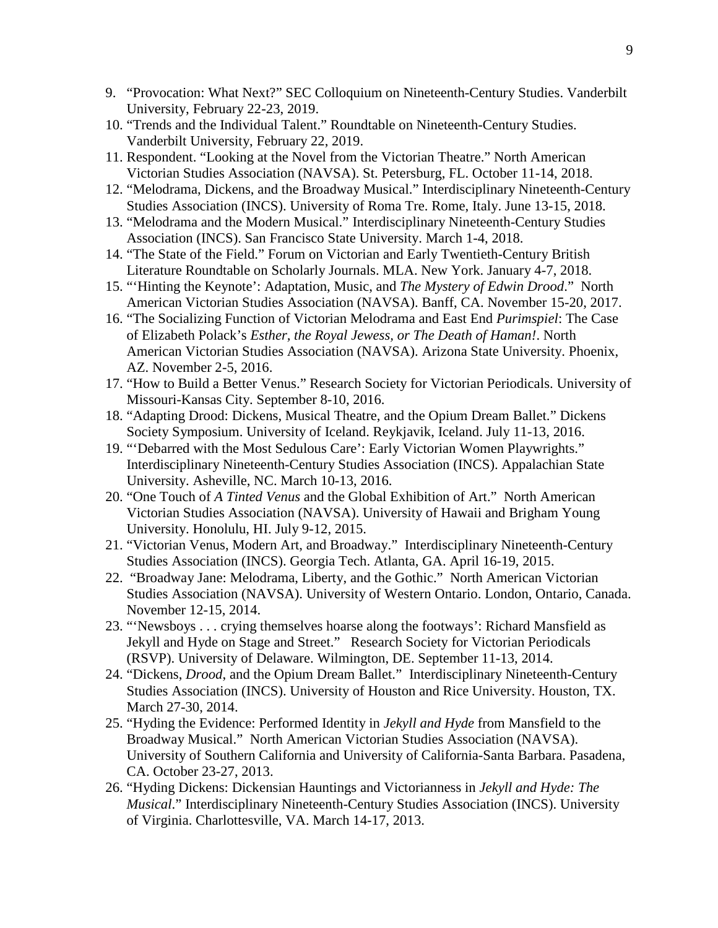- 9. "Provocation: What Next?" SEC Colloquium on Nineteenth-Century Studies. Vanderbilt University, February 22-23, 2019.
- 10. "Trends and the Individual Talent." Roundtable on Nineteenth-Century Studies. Vanderbilt University, February 22, 2019.
- 11. Respondent. "Looking at the Novel from the Victorian Theatre." North American Victorian Studies Association (NAVSA). St. Petersburg, FL. October 11-14, 2018.
- 12. "Melodrama, Dickens, and the Broadway Musical." Interdisciplinary Nineteenth-Century Studies Association (INCS). University of Roma Tre. Rome, Italy. June 13-15, 2018.
- 13. "Melodrama and the Modern Musical." Interdisciplinary Nineteenth-Century Studies Association (INCS). San Francisco State University. March 1-4, 2018.
- 14. "The State of the Field." Forum on Victorian and Early Twentieth-Century British Literature Roundtable on Scholarly Journals. MLA. New York. January 4-7, 2018.
- 15. "'Hinting the Keynote': Adaptation, Music, and *The Mystery of Edwin Drood*." North American Victorian Studies Association (NAVSA). Banff, CA. November 15-20, 2017.
- 16. "The Socializing Function of Victorian Melodrama and East End *Purimspiel*: The Case of Elizabeth Polack's *Esther, the Royal Jewess, or The Death of Haman!*. North American Victorian Studies Association (NAVSA). Arizona State University. Phoenix, AZ. November 2-5, 2016.
- 17. "How to Build a Better Venus." Research Society for Victorian Periodicals. University of Missouri-Kansas City. September 8-10, 2016.
- 18. "Adapting Drood: Dickens, Musical Theatre, and the Opium Dream Ballet." Dickens Society Symposium. University of Iceland. Reykjavik, Iceland. July 11-13, 2016.
- 19. "'Debarred with the Most Sedulous Care': Early Victorian Women Playwrights." Interdisciplinary Nineteenth-Century Studies Association (INCS). Appalachian State University. Asheville, NC. March 10-13, 2016.
- 20. "One Touch of *A Tinted Venus* and the Global Exhibition of Art." North American Victorian Studies Association (NAVSA). University of Hawaii and Brigham Young University. Honolulu, HI. July 9-12, 2015.
- 21. "Victorian Venus, Modern Art, and Broadway." Interdisciplinary Nineteenth-Century Studies Association (INCS). Georgia Tech. Atlanta, GA. April 16-19, 2015.
- 22. "Broadway Jane: Melodrama, Liberty, and the Gothic." North American Victorian Studies Association (NAVSA). University of Western Ontario. London, Ontario, Canada. November 12-15, 2014.
- 23. "'Newsboys . . . crying themselves hoarse along the footways': Richard Mansfield as Jekyll and Hyde on Stage and Street." Research Society for Victorian Periodicals (RSVP). University of Delaware. Wilmington, DE. September 11-13, 2014.
- 24. "Dickens, *Drood*, and the Opium Dream Ballet." Interdisciplinary Nineteenth-Century Studies Association (INCS). University of Houston and Rice University. Houston, TX. March 27-30, 2014.
- 25. "Hyding the Evidence: Performed Identity in *Jekyll and Hyde* from Mansfield to the Broadway Musical." North American Victorian Studies Association (NAVSA). University of Southern California and University of California-Santa Barbara. Pasadena, CA. October 23-27, 2013.
- 26. "Hyding Dickens: Dickensian Hauntings and Victorianness in *Jekyll and Hyde: The Musical*." Interdisciplinary Nineteenth-Century Studies Association (INCS). University of Virginia. Charlottesville, VA. March 14-17, 2013.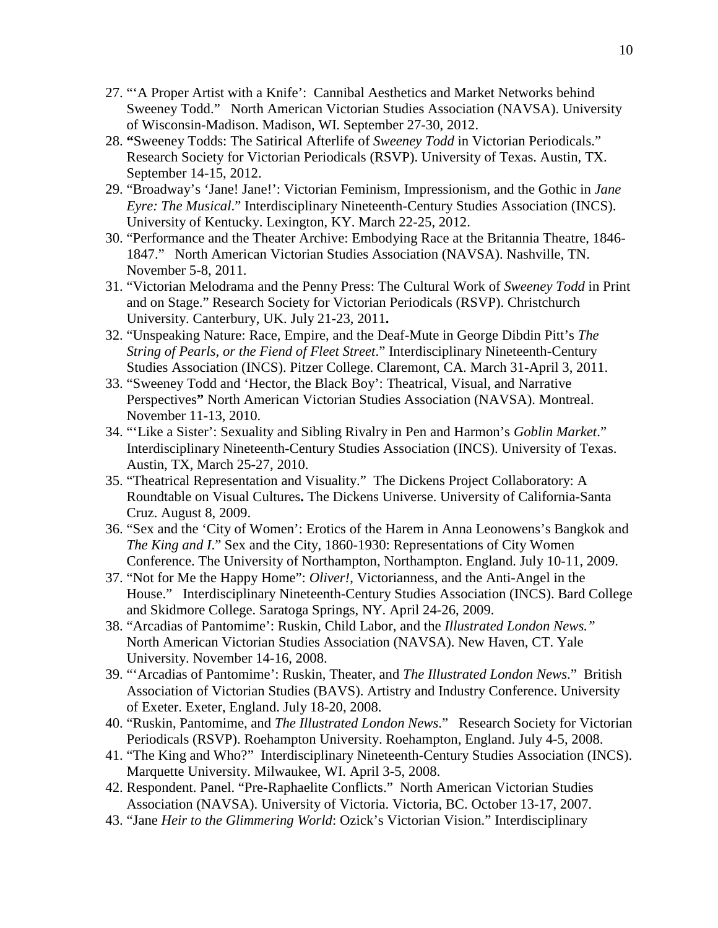- 27. "'A Proper Artist with a Knife': Cannibal Aesthetics and Market Networks behind Sweeney Todd." North American Victorian Studies Association (NAVSA). University of Wisconsin-Madison. Madison, WI. September 27-30, 2012.
- 28. **"**Sweeney Todds: The Satirical Afterlife of *Sweeney Todd* in Victorian Periodicals." Research Society for Victorian Periodicals (RSVP). University of Texas. Austin, TX. September 14-15, 2012.
- 29. "Broadway's 'Jane! Jane!': Victorian Feminism, Impressionism, and the Gothic in *Jane Eyre: The Musical*." Interdisciplinary Nineteenth-Century Studies Association (INCS). University of Kentucky. Lexington, KY. March 22-25, 2012.
- 30. "Performance and the Theater Archive: Embodying Race at the Britannia Theatre, 1846- 1847." North American Victorian Studies Association (NAVSA). Nashville, TN. November 5-8, 2011.
- 31. "Victorian Melodrama and the Penny Press: The Cultural Work of *Sweeney Todd* in Print and on Stage." Research Society for Victorian Periodicals (RSVP). Christchurch University. Canterbury, UK. July 21-23, 2011**.**
- 32. "Unspeaking Nature: Race, Empire, and the Deaf-Mute in George Dibdin Pitt's *The String of Pearls, or the Fiend of Fleet Street*." Interdisciplinary Nineteenth-Century Studies Association (INCS). Pitzer College. Claremont, CA. March 31-April 3, 2011.
- 33. "Sweeney Todd and 'Hector, the Black Boy': Theatrical, Visual, and Narrative Perspectives**"** North American Victorian Studies Association (NAVSA). Montreal. November 11-13, 2010.
- 34. "'Like a Sister': Sexuality and Sibling Rivalry in Pen and Harmon's *Goblin Market*." Interdisciplinary Nineteenth-Century Studies Association (INCS). University of Texas. Austin, TX, March 25-27, 2010.
- 35. "Theatrical Representation and Visuality." The Dickens Project Collaboratory: A Roundtable on Visual Cultures**.** The Dickens Universe. University of California-Santa Cruz. August 8, 2009.
- 36. "Sex and the 'City of Women': Erotics of the Harem in Anna Leonowens's Bangkok and *The King and I*." Sex and the City, 1860-1930: Representations of City Women Conference. The University of Northampton, Northampton. England. July 10-11, 2009.
- 37. "Not for Me the Happy Home": *Oliver!*, Victorianness, and the Anti-Angel in the House." Interdisciplinary Nineteenth-Century Studies Association (INCS). Bard College and Skidmore College. Saratoga Springs, NY. April 24-26, 2009.
- 38. "Arcadias of Pantomime': Ruskin, Child Labor, and the *Illustrated London News."*  North American Victorian Studies Association (NAVSA). New Haven, CT. Yale University. November 14-16, 2008.
- 39. "'Arcadias of Pantomime': Ruskin, Theater, and *The Illustrated London News*." British Association of Victorian Studies (BAVS). Artistry and Industry Conference. University of Exeter. Exeter, England. July 18-20, 2008.
- 40. "Ruskin, Pantomime, and *The Illustrated London News*." Research Society for Victorian Periodicals (RSVP). Roehampton University. Roehampton, England. July 4-5, 2008.
- 41. "The King and Who?" Interdisciplinary Nineteenth-Century Studies Association (INCS). Marquette University. Milwaukee, WI. April 3-5, 2008.
- 42. Respondent. Panel. "Pre-Raphaelite Conflicts." North American Victorian Studies Association (NAVSA). University of Victoria. Victoria, BC. October 13-17, 2007.
- 43. "Jane *Heir to the Glimmering World*: Ozick's Victorian Vision." Interdisciplinary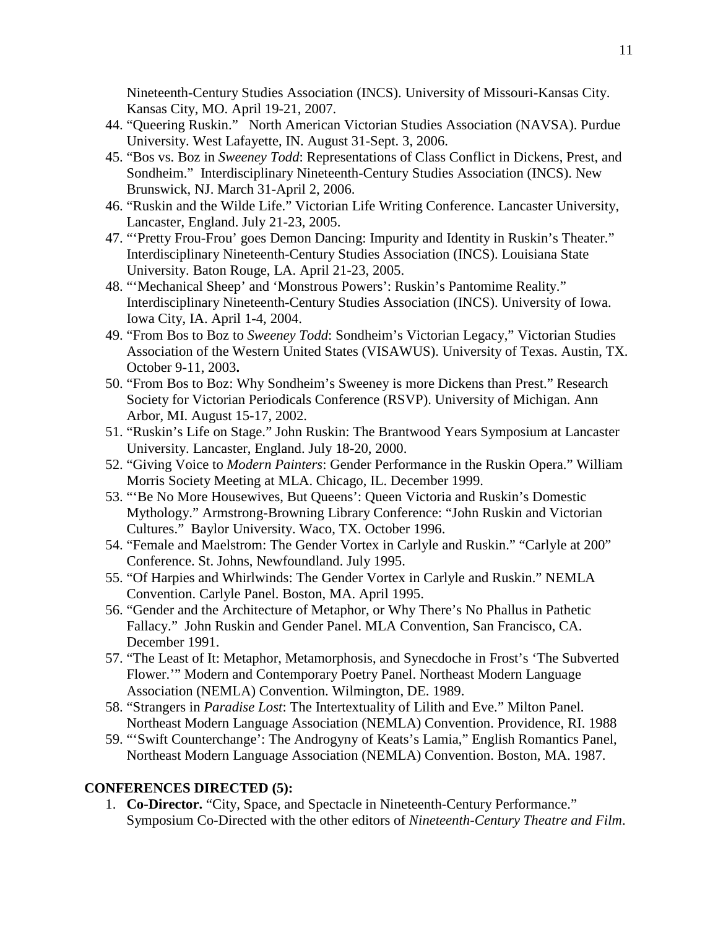Nineteenth-Century Studies Association (INCS). University of Missouri-Kansas City. Kansas City, MO. April 19-21, 2007.

- 44. "Queering Ruskin." North American Victorian Studies Association (NAVSA). Purdue University. West Lafayette, IN. August 31-Sept. 3, 2006.
- 45. "Bos vs. Boz in *Sweeney Todd*: Representations of Class Conflict in Dickens, Prest, and Sondheim." Interdisciplinary Nineteenth-Century Studies Association (INCS). New Brunswick, NJ. March 31-April 2, 2006.
- 46. "Ruskin and the Wilde Life." Victorian Life Writing Conference. Lancaster University, Lancaster, England. July 21-23, 2005.
- 47. "'Pretty Frou-Frou' goes Demon Dancing: Impurity and Identity in Ruskin's Theater." Interdisciplinary Nineteenth-Century Studies Association (INCS). Louisiana State University. Baton Rouge, LA. April 21-23, 2005.
- 48. "'Mechanical Sheep' and 'Monstrous Powers': Ruskin's Pantomime Reality." Interdisciplinary Nineteenth-Century Studies Association (INCS). University of Iowa. Iowa City, IA. April 1-4, 2004.
- 49. "From Bos to Boz to *Sweeney Todd*: Sondheim's Victorian Legacy," Victorian Studies Association of the Western United States (VISAWUS). University of Texas. Austin, TX. October 9-11, 2003**.**
- 50. "From Bos to Boz: Why Sondheim's Sweeney is more Dickens than Prest." Research Society for Victorian Periodicals Conference (RSVP). University of Michigan. Ann Arbor, MI. August 15-17, 2002.
- 51. "Ruskin's Life on Stage." John Ruskin: The Brantwood Years Symposium at Lancaster University. Lancaster, England. July 18-20, 2000.
- 52. "Giving Voice to *Modern Painters*: Gender Performance in the Ruskin Opera." William Morris Society Meeting at MLA. Chicago, IL. December 1999.
- 53. "'Be No More Housewives, But Queens': Queen Victoria and Ruskin's Domestic Mythology." Armstrong-Browning Library Conference: "John Ruskin and Victorian Cultures." Baylor University. Waco, TX. October 1996.
- 54. "Female and Maelstrom: The Gender Vortex in Carlyle and Ruskin." "Carlyle at 200" Conference. St. Johns, Newfoundland. July 1995.
- 55. "Of Harpies and Whirlwinds: The Gender Vortex in Carlyle and Ruskin." NEMLA Convention. Carlyle Panel. Boston, MA. April 1995.
- 56. "Gender and the Architecture of Metaphor, or Why There's No Phallus in Pathetic Fallacy." John Ruskin and Gender Panel. MLA Convention, San Francisco, CA. December 1991.
- 57. "The Least of It: Metaphor, Metamorphosis, and Synecdoche in Frost's 'The Subverted Flower.'" Modern and Contemporary Poetry Panel. Northeast Modern Language Association (NEMLA) Convention. Wilmington, DE. 1989.
- 58. "Strangers in *Paradise Lost*: The Intertextuality of Lilith and Eve." Milton Panel. Northeast Modern Language Association (NEMLA) Convention. Providence, RI. 1988
- 59. "'Swift Counterchange': The Androgyny of Keats's Lamia," English Romantics Panel, Northeast Modern Language Association (NEMLA) Convention. Boston, MA. 1987.

#### **CONFERENCES DIRECTED (5):**

1. **Co-Director.** "City, Space, and Spectacle in Nineteenth-Century Performance." Symposium Co-Directed with the other editors of *Nineteenth-Century Theatre and Film*.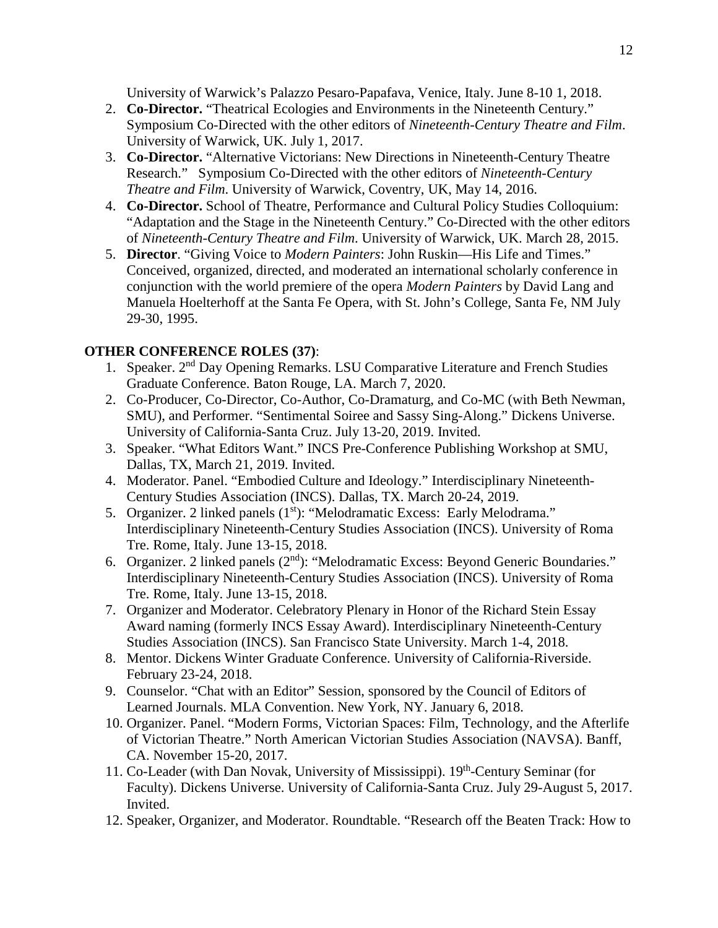University of Warwick's Palazzo Pesaro-Papafava, Venice, Italy. June 8-10 1, 2018.

- 2. **Co-Director.** "Theatrical Ecologies and Environments in the Nineteenth Century." Symposium Co-Directed with the other editors of *Nineteenth-Century Theatre and Film*. University of Warwick, UK. July 1, 2017.
- 3. **Co-Director.** "Alternative Victorians: New Directions in Nineteenth-Century Theatre Research." Symposium Co-Directed with the other editors of *Nineteenth-Century Theatre and Film*. University of Warwick, Coventry, UK, May 14, 2016.
- 4. **Co-Director.** School of Theatre, Performance and Cultural Policy Studies Colloquium: "Adaptation and the Stage in the Nineteenth Century." Co-Directed with the other editors of *Nineteenth-Century Theatre and Film*. University of Warwick, UK. March 28, 2015.
- 5. **Director**. "Giving Voice to *Modern Painters*: John Ruskin—His Life and Times." Conceived, organized, directed, and moderated an international scholarly conference in conjunction with the world premiere of the opera *Modern Painters* by David Lang and Manuela Hoelterhoff at the Santa Fe Opera, with St. John's College, Santa Fe, NM July 29-30, 1995.

## **OTHER CONFERENCE ROLES (37)**:

- 1. Speaker. 2nd Day Opening Remarks. LSU Comparative Literature and French Studies Graduate Conference. Baton Rouge, LA. March 7, 2020.
- 2. Co-Producer, Co-Director, Co-Author, Co-Dramaturg, and Co-MC (with Beth Newman, SMU), and Performer. "Sentimental Soiree and Sassy Sing-Along." Dickens Universe. University of California-Santa Cruz. July 13-20, 2019. Invited.
- 3. Speaker. "What Editors Want." INCS Pre-Conference Publishing Workshop at SMU, Dallas, TX, March 21, 2019. Invited.
- 4. Moderator. Panel. "Embodied Culture and Ideology." Interdisciplinary Nineteenth-Century Studies Association (INCS). Dallas, TX. March 20-24, 2019.
- 5. Organizer. 2 linked panels (1<sup>st</sup>): "Melodramatic Excess: Early Melodrama." Interdisciplinary Nineteenth-Century Studies Association (INCS). University of Roma Tre. Rome, Italy. June 13-15, 2018.
- 6. Organizer. 2 linked panels (2nd): "Melodramatic Excess: Beyond Generic Boundaries." Interdisciplinary Nineteenth-Century Studies Association (INCS). University of Roma Tre. Rome, Italy. June 13-15, 2018.
- 7. Organizer and Moderator. Celebratory Plenary in Honor of the Richard Stein Essay Award naming (formerly INCS Essay Award). Interdisciplinary Nineteenth-Century Studies Association (INCS). San Francisco State University. March 1-4, 2018.
- 8. Mentor. Dickens Winter Graduate Conference. University of California-Riverside. February 23-24, 2018.
- 9. Counselor. "Chat with an Editor" Session, sponsored by the Council of Editors of Learned Journals. MLA Convention. New York, NY. January 6, 2018.
- 10. Organizer. Panel. "Modern Forms, Victorian Spaces: Film, Technology, and the Afterlife of Victorian Theatre." North American Victorian Studies Association (NAVSA). Banff, CA. November 15-20, 2017.
- 11. Co-Leader (with Dan Novak, University of Mississippi). 19<sup>th</sup>-Century Seminar (for Faculty). Dickens Universe. University of California-Santa Cruz. July 29-August 5, 2017. Invited.
- 12. Speaker, Organizer, and Moderator. Roundtable. "Research off the Beaten Track: How to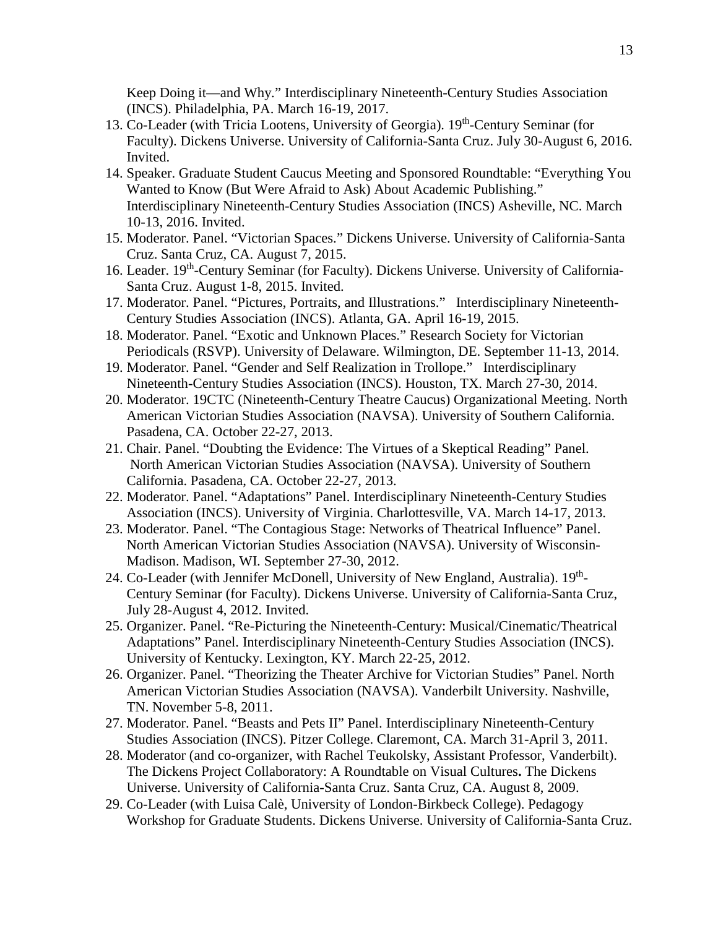Keep Doing it—and Why." Interdisciplinary Nineteenth-Century Studies Association (INCS). Philadelphia, PA. March 16-19, 2017.

- 13. Co-Leader (with Tricia Lootens, University of Georgia). 19<sup>th</sup>-Century Seminar (for Faculty). Dickens Universe. University of California-Santa Cruz. July 30-August 6, 2016. Invited.
- 14. Speaker. Graduate Student Caucus Meeting and Sponsored Roundtable: "Everything You Wanted to Know (But Were Afraid to Ask) About Academic Publishing." Interdisciplinary Nineteenth-Century Studies Association (INCS) Asheville, NC. March 10-13, 2016. Invited.
- 15. Moderator. Panel. "Victorian Spaces." Dickens Universe. University of California-Santa Cruz. Santa Cruz, CA. August 7, 2015.
- 16. Leader. 19th-Century Seminar (for Faculty). Dickens Universe. University of California-Santa Cruz. August 1-8, 2015. Invited.
- 17. Moderator. Panel. "Pictures, Portraits, and Illustrations." Interdisciplinary Nineteenth-Century Studies Association (INCS). Atlanta, GA. April 16-19, 2015.
- 18. Moderator. Panel. "Exotic and Unknown Places." Research Society for Victorian Periodicals (RSVP). University of Delaware. Wilmington, DE. September 11-13, 2014.
- 19. Moderator. Panel. "Gender and Self Realization in Trollope." Interdisciplinary Nineteenth-Century Studies Association (INCS). Houston, TX. March 27-30, 2014.
- 20. Moderator. 19CTC (Nineteenth-Century Theatre Caucus) Organizational Meeting. North American Victorian Studies Association (NAVSA). University of Southern California. Pasadena, CA. October 22-27, 2013.
- 21. Chair. Panel. "Doubting the Evidence: The Virtues of a Skeptical Reading" Panel. North American Victorian Studies Association (NAVSA). University of Southern California. Pasadena, CA. October 22-27, 2013.
- 22. Moderator. Panel. "Adaptations" Panel. Interdisciplinary Nineteenth-Century Studies Association (INCS). University of Virginia. Charlottesville, VA. March 14-17, 2013.
- 23. Moderator. Panel. "The Contagious Stage: Networks of Theatrical Influence" Panel. North American Victorian Studies Association (NAVSA). University of Wisconsin-Madison. Madison, WI. September 27-30, 2012.
- 24. Co-Leader (with Jennifer McDonell, University of New England, Australia). 19<sup>th</sup>-Century Seminar (for Faculty). Dickens Universe. University of California-Santa Cruz, July 28-August 4, 2012. Invited.
- 25. Organizer. Panel. "Re-Picturing the Nineteenth-Century: Musical/Cinematic/Theatrical Adaptations" Panel. Interdisciplinary Nineteenth-Century Studies Association (INCS). University of Kentucky. Lexington, KY. March 22-25, 2012.
- 26. Organizer. Panel. "Theorizing the Theater Archive for Victorian Studies" Panel. North American Victorian Studies Association (NAVSA). Vanderbilt University. Nashville, TN. November 5-8, 2011.
- 27. Moderator. Panel. "Beasts and Pets II" Panel. Interdisciplinary Nineteenth-Century Studies Association (INCS). Pitzer College. Claremont, CA. March 31-April 3, 2011.
- 28. Moderator (and co-organizer, with Rachel Teukolsky, Assistant Professor, Vanderbilt). The Dickens Project Collaboratory: A Roundtable on Visual Cultures**.** The Dickens Universe. University of California-Santa Cruz. Santa Cruz, CA. August 8, 2009.
- 29. Co-Leader (with Luisa Calè, University of London-Birkbeck College). Pedagogy Workshop for Graduate Students. Dickens Universe. University of California-Santa Cruz.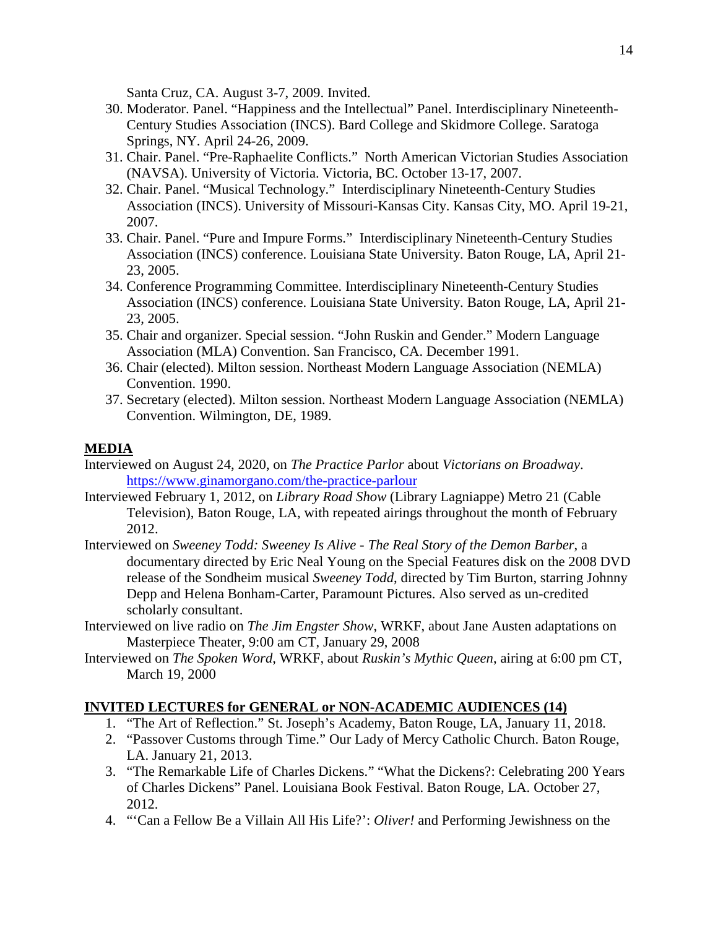Santa Cruz, CA. August 3-7, 2009. Invited.

- 30. Moderator. Panel. "Happiness and the Intellectual" Panel. Interdisciplinary Nineteenth-Century Studies Association (INCS). Bard College and Skidmore College. Saratoga Springs, NY. April 24-26, 2009.
- 31. Chair. Panel. "Pre-Raphaelite Conflicts." North American Victorian Studies Association (NAVSA). University of Victoria. Victoria, BC. October 13-17, 2007.
- 32. Chair. Panel. "Musical Technology." Interdisciplinary Nineteenth-Century Studies Association (INCS). University of Missouri-Kansas City. Kansas City, MO. April 19-21, 2007.
- 33. Chair. Panel. "Pure and Impure Forms." Interdisciplinary Nineteenth-Century Studies Association (INCS) conference. Louisiana State University. Baton Rouge, LA, April 21- 23, 2005.
- 34. Conference Programming Committee. Interdisciplinary Nineteenth-Century Studies Association (INCS) conference. Louisiana State University. Baton Rouge, LA, April 21- 23, 2005.
- 35. Chair and organizer. Special session. "John Ruskin and Gender." Modern Language Association (MLA) Convention. San Francisco, CA. December 1991.
- 36. Chair (elected). Milton session. Northeast Modern Language Association (NEMLA) Convention. 1990.
- 37. Secretary (elected). Milton session. Northeast Modern Language Association (NEMLA) Convention. Wilmington, DE, 1989.

## **MEDIA**

- Interviewed on August 24, 2020, on *The Practice Parlor* about *Victorians on Broadway*. <https://www.ginamorgano.com/the-practice-parlour>
- Interviewed February 1, 2012, on *Library Road Show* (Library Lagniappe) Metro 21 (Cable Television), Baton Rouge, LA, with repeated airings throughout the month of February 2012.
- Interviewed on *Sweeney Todd: Sweeney Is Alive - The Real Story of the Demon Barber*, a documentary directed by Eric Neal Young on the Special Features disk on the 2008 DVD release of the Sondheim musical *Sweeney Todd*, directed by Tim Burton, starring Johnny Depp and Helena Bonham-Carter, Paramount Pictures. Also served as un-credited scholarly consultant.
- Interviewed on live radio on *The Jim Engster Show*, WRKF, about Jane Austen adaptations on Masterpiece Theater, 9:00 am CT, January 29, 2008
- Interviewed on *The Spoken Word*, WRKF, about *Ruskin's Mythic Queen*, airing at 6:00 pm CT, March 19, 2000

## **INVITED LECTURES for GENERAL or NON-ACADEMIC AUDIENCES (14)**

- 1. "The Art of Reflection." St. Joseph's Academy, Baton Rouge, LA, January 11, 2018.
- 2. "Passover Customs through Time." Our Lady of Mercy Catholic Church. Baton Rouge, LA. January 21, 2013.
- 3. "The Remarkable Life of Charles Dickens." "What the Dickens?: Celebrating 200 Years of Charles Dickens" Panel. Louisiana Book Festival. Baton Rouge, LA. October 27, 2012.
- 4. "'Can a Fellow Be a Villain All His Life?': *Oliver!* and Performing Jewishness on the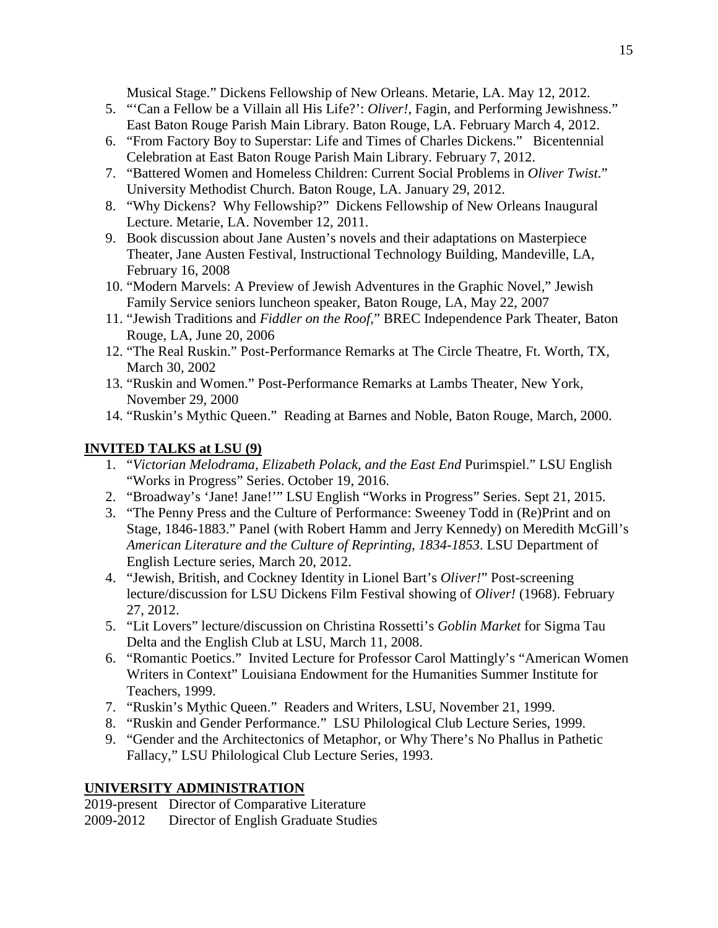Musical Stage." Dickens Fellowship of New Orleans. Metarie, LA. May 12, 2012.

- 5. "'Can a Fellow be a Villain all His Life?': *Oliver!*, Fagin, and Performing Jewishness." East Baton Rouge Parish Main Library. Baton Rouge, LA. February March 4, 2012.
- 6. "From Factory Boy to Superstar: Life and Times of Charles Dickens." Bicentennial Celebration at East Baton Rouge Parish Main Library. February 7, 2012.
- 7. "Battered Women and Homeless Children: Current Social Problems in *Oliver Twist*." University Methodist Church. Baton Rouge, LA. January 29, 2012.
- 8. "Why Dickens? Why Fellowship?" Dickens Fellowship of New Orleans Inaugural Lecture. Metarie, LA. November 12, 2011.
- 9. Book discussion about Jane Austen's novels and their adaptations on Masterpiece Theater, Jane Austen Festival, Instructional Technology Building, Mandeville, LA, February 16, 2008
- 10. "Modern Marvels: A Preview of Jewish Adventures in the Graphic Novel," Jewish Family Service seniors luncheon speaker, Baton Rouge, LA, May 22, 2007
- 11. "Jewish Traditions and *Fiddler on the Roof*," BREC Independence Park Theater, Baton Rouge, LA, June 20, 2006
- 12. "The Real Ruskin." Post-Performance Remarks at The Circle Theatre, Ft. Worth, TX, March 30, 2002
- 13. "Ruskin and Women." Post-Performance Remarks at Lambs Theater, New York, November 29, 2000
- 14. "Ruskin's Mythic Queen." Reading at Barnes and Noble, Baton Rouge, March, 2000.

## **INVITED TALKS at LSU (9)**

- 1. "*Victorian Melodrama, Elizabeth Polack, and the East End* Purimspiel." LSU English "Works in Progress" Series. October 19, 2016.
- 2. "Broadway's 'Jane! Jane!'" LSU English "Works in Progress" Series. Sept 21, 2015.
- 3. "The Penny Press and the Culture of Performance: Sweeney Todd in (Re)Print and on Stage, 1846-1883." Panel (with Robert Hamm and Jerry Kennedy) on Meredith McGill's *American Literature and the Culture of Reprinting, 1834-1853*. LSU Department of English Lecture series, March 20, 2012.
- 4. "Jewish, British, and Cockney Identity in Lionel Bart's *Oliver!*" Post-screening lecture/discussion for LSU Dickens Film Festival showing of *Oliver!* (1968). February 27, 2012.
- 5. "Lit Lovers" lecture/discussion on Christina Rossetti's *Goblin Market* for Sigma Tau Delta and the English Club at LSU, March 11, 2008.
- 6. "Romantic Poetics." Invited Lecture for Professor Carol Mattingly's "American Women Writers in Context" Louisiana Endowment for the Humanities Summer Institute for Teachers, 1999.
- 7. "Ruskin's Mythic Queen." Readers and Writers, LSU, November 21, 1999.
- 8. "Ruskin and Gender Performance." LSU Philological Club Lecture Series, 1999.
- 9. "Gender and the Architectonics of Metaphor, or Why There's No Phallus in Pathetic Fallacy," LSU Philological Club Lecture Series, 1993.

## **UNIVERSITY ADMINISTRATION**

2019-present Director of Comparative Literature 2009-2012 Director of English Graduate Studies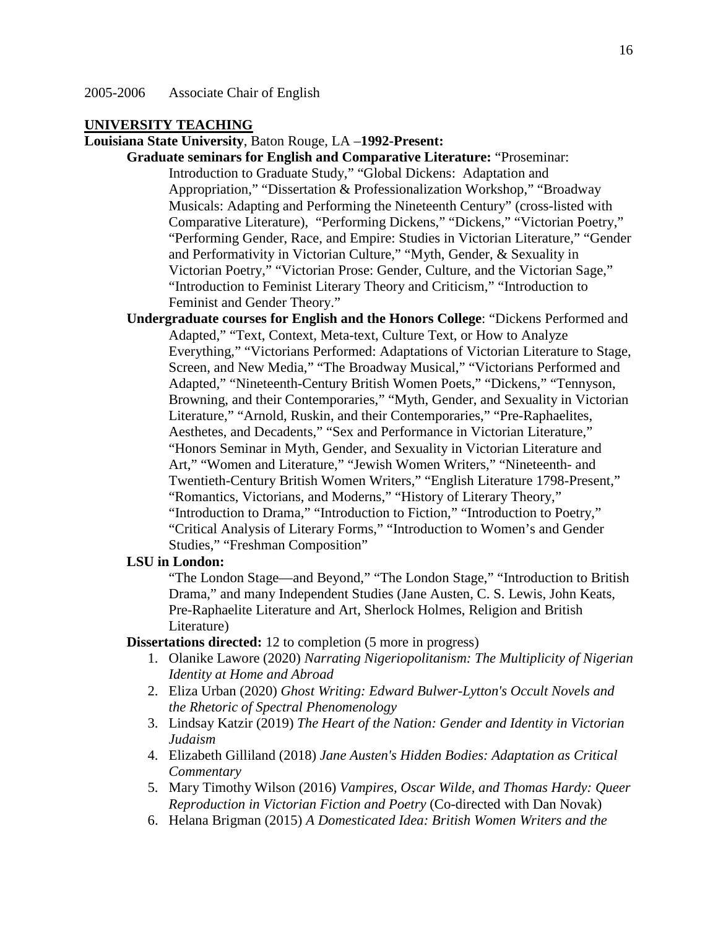### **UNIVERSITY TEACHING**

**Louisiana State University**, Baton Rouge, LA –**1992-Present:**

**Graduate seminars for English and Comparative Literature:** "Proseminar: Introduction to Graduate Study," "Global Dickens: Adaptation and Appropriation," "Dissertation & Professionalization Workshop," "Broadway Musicals: Adapting and Performing the Nineteenth Century" (cross-listed with Comparative Literature), "Performing Dickens," "Dickens," "Victorian Poetry," "Performing Gender, Race, and Empire: Studies in Victorian Literature," "Gender and Performativity in Victorian Culture," "Myth, Gender, & Sexuality in Victorian Poetry," "Victorian Prose: Gender, Culture, and the Victorian Sage," "Introduction to Feminist Literary Theory and Criticism," "Introduction to Feminist and Gender Theory."

**Undergraduate courses for English and the Honors College**: "Dickens Performed and Adapted," "Text, Context, Meta-text, Culture Text, or How to Analyze Everything," "Victorians Performed: Adaptations of Victorian Literature to Stage, Screen, and New Media," "The Broadway Musical," "Victorians Performed and Adapted," "Nineteenth-Century British Women Poets," "Dickens," "Tennyson, Browning, and their Contemporaries," "Myth, Gender, and Sexuality in Victorian Literature," "Arnold, Ruskin, and their Contemporaries," "Pre-Raphaelites, Aesthetes, and Decadents," "Sex and Performance in Victorian Literature," "Honors Seminar in Myth, Gender, and Sexuality in Victorian Literature and Art," "Women and Literature," "Jewish Women Writers," "Nineteenth- and Twentieth-Century British Women Writers," "English Literature 1798-Present," "Romantics, Victorians, and Moderns," "History of Literary Theory," "Introduction to Drama," "Introduction to Fiction," "Introduction to Poetry," "Critical Analysis of Literary Forms," "Introduction to Women's and Gender Studies," "Freshman Composition"

### **LSU in London:**

"The London Stage—and Beyond," "The London Stage," "Introduction to British Drama," and many Independent Studies (Jane Austen, C. S. Lewis, John Keats, Pre-Raphaelite Literature and Art, Sherlock Holmes, Religion and British Literature)

**Dissertations directed:** 12 to completion (5 more in progress)

- 1. Olanike Lawore (2020) *Narrating Nigeriopolitanism: The Multiplicity of Nigerian Identity at Home and Abroad*
- 2. Eliza Urban (2020) *Ghost Writing: Edward Bulwer-Lytton's Occult Novels and the Rhetoric of Spectral Phenomenology*
- 3. Lindsay Katzir (2019) *The Heart of the Nation: Gender and Identity in Victorian Judaism*
- 4. Elizabeth Gilliland (2018) *Jane Austen's Hidden Bodies: Adaptation as Critical Commentary*
- 5. Mary Timothy Wilson (2016) *Vampires, Oscar Wilde, and Thomas Hardy: Queer Reproduction in Victorian Fiction and Poetry* (Co-directed with Dan Novak)
- 6. Helana Brigman (2015) *A Domesticated Idea: British Women Writers and the*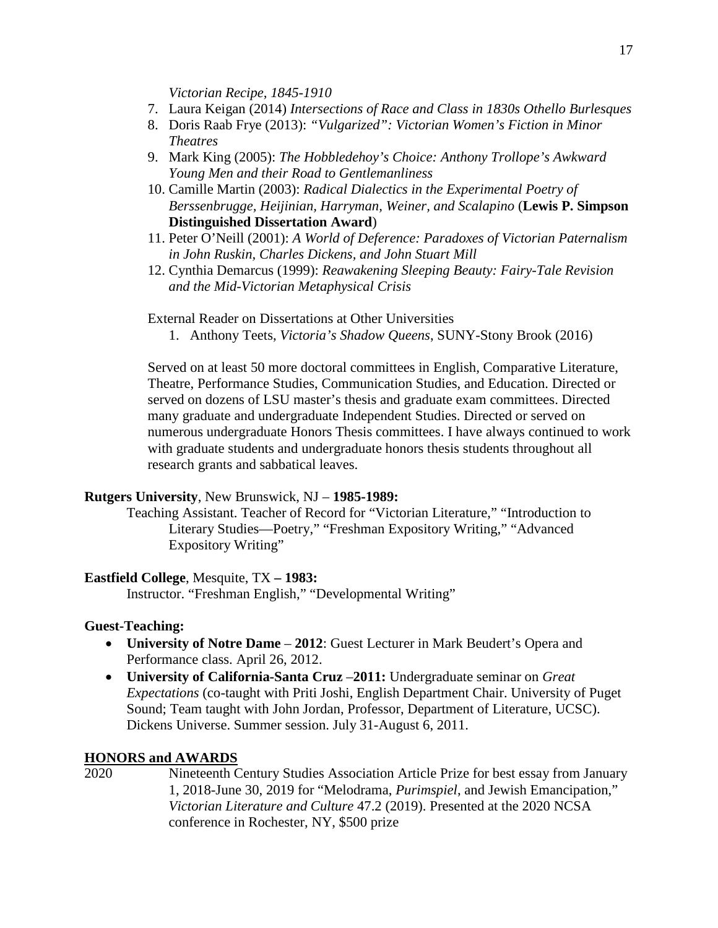*Victorian Recipe, 1845-1910*

- 7. Laura Keigan (2014) *Intersections of Race and Class in 1830s Othello Burlesques*
- 8. Doris Raab Frye (2013): *"Vulgarized": Victorian Women's Fiction in Minor Theatres*
- 9. Mark King (2005): *The Hobbledehoy's Choice: Anthony Trollope's Awkward Young Men and their Road to Gentlemanliness*
- 10. Camille Martin (2003): *Radical Dialectics in the Experimental Poetry of Berssenbrugge, Heijinian, Harryman, Weiner, and Scalapino* (**Lewis P. Simpson Distinguished Dissertation Award**)
- 11. Peter O'Neill (2001): *A World of Deference: Paradoxes of Victorian Paternalism in John Ruskin, Charles Dickens, and John Stuart Mill*
- 12. Cynthia Demarcus (1999): *Reawakening Sleeping Beauty: Fairy-Tale Revision and the Mid-Victorian Metaphysical Crisis*

External Reader on Dissertations at Other Universities

1. Anthony Teets, *Victoria's Shadow Queens*, SUNY-Stony Brook (2016)

Served on at least 50 more doctoral committees in English, Comparative Literature, Theatre, Performance Studies, Communication Studies, and Education. Directed or served on dozens of LSU master's thesis and graduate exam committees. Directed many graduate and undergraduate Independent Studies. Directed or served on numerous undergraduate Honors Thesis committees. I have always continued to work with graduate students and undergraduate honors thesis students throughout all research grants and sabbatical leaves.

#### **Rutgers University**, New Brunswick, NJ – **1985-1989:**

Teaching Assistant. Teacher of Record for "Victorian Literature," "Introduction to Literary Studies—Poetry," "Freshman Expository Writing," "Advanced Expository Writing"

#### **Eastfield College**, Mesquite, TX **– 1983:**

Instructor. "Freshman English," "Developmental Writing"

#### **Guest-Teaching:**

- **University of Notre Dame 2012**: Guest Lecturer in Mark Beudert's Opera and Performance class. April 26, 2012.
- **University of California-Santa Cruz** –**2011:** Undergraduate seminar on *Great Expectations* (co-taught with Priti Joshi, English Department Chair. University of Puget Sound; Team taught with John Jordan, Professor, Department of Literature, UCSC). Dickens Universe. Summer session. July 31-August 6, 2011.

#### **HONORS and AWARDS**

2020 Nineteenth Century Studies Association Article Prize for best essay from January 1, 2018-June 30, 2019 for "Melodrama, *Purimspiel*, and Jewish Emancipation," *Victorian Literature and Culture* 47.2 (2019). Presented at the 2020 NCSA conference in Rochester, NY, \$500 prize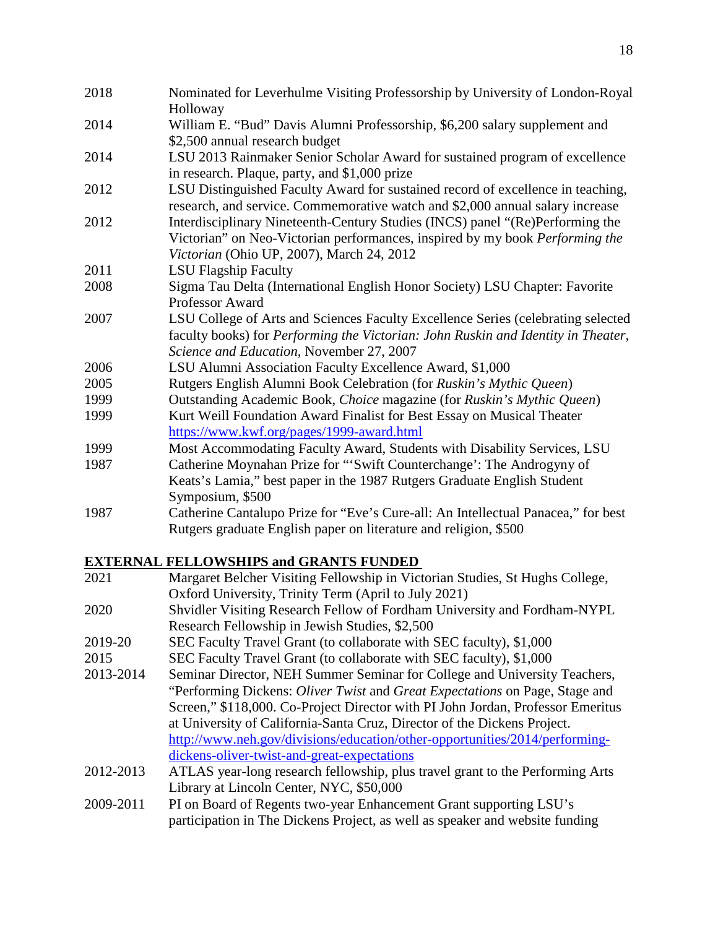| 2018 | Nominated for Leverhulme Visiting Professorship by University of London-Royal<br>Holloway                                                                                                                         |
|------|-------------------------------------------------------------------------------------------------------------------------------------------------------------------------------------------------------------------|
| 2014 | William E. "Bud" Davis Alumni Professorship, \$6,200 salary supplement and<br>\$2,500 annual research budget                                                                                                      |
| 2014 | LSU 2013 Rainmaker Senior Scholar Award for sustained program of excellence<br>in research. Plaque, party, and \$1,000 prize                                                                                      |
| 2012 | LSU Distinguished Faculty Award for sustained record of excellence in teaching,<br>research, and service. Commemorative watch and \$2,000 annual salary increase                                                  |
| 2012 | Interdisciplinary Nineteenth-Century Studies (INCS) panel "(Re)Performing the<br>Victorian" on Neo-Victorian performances, inspired by my book Performing the<br>Victorian (Ohio UP, 2007), March 24, 2012        |
| 2011 | <b>LSU Flagship Faculty</b>                                                                                                                                                                                       |
| 2008 | Sigma Tau Delta (International English Honor Society) LSU Chapter: Favorite                                                                                                                                       |
|      | <b>Professor Award</b>                                                                                                                                                                                            |
| 2007 | LSU College of Arts and Sciences Faculty Excellence Series (celebrating selected<br>faculty books) for Performing the Victorian: John Ruskin and Identity in Theater,<br>Science and Education, November 27, 2007 |
| 2006 | LSU Alumni Association Faculty Excellence Award, \$1,000                                                                                                                                                          |
| 2005 | Rutgers English Alumni Book Celebration (for Ruskin's Mythic Queen)                                                                                                                                               |
| 1999 | Outstanding Academic Book, Choice magazine (for Ruskin's Mythic Queen)                                                                                                                                            |
| 1999 | Kurt Weill Foundation Award Finalist for Best Essay on Musical Theater<br>https://www.kwf.org/pages/1999-award.html                                                                                               |
| 1999 | Most Accommodating Faculty Award, Students with Disability Services, LSU                                                                                                                                          |
| 1987 | Catherine Moynahan Prize for "'Swift Counterchange': The Androgyny of<br>Keats's Lamia," best paper in the 1987 Rutgers Graduate English Student<br>Symposium, \$500                                              |
| 1987 | Catherine Cantalupo Prize for "Eve's Cure-all: An Intellectual Panacea," for best<br>Rutgers graduate English paper on literature and religion, \$500                                                             |

# **EXTERNAL FELLOWSHIPS and GRANTS FUNDED**

| 2021      | Margaret Belcher Visiting Fellowship in Victorian Studies, St Hughs College,    |
|-----------|---------------------------------------------------------------------------------|
|           | Oxford University, Trinity Term (April to July 2021)                            |
| 2020      | Shvidler Visiting Research Fellow of Fordham University and Fordham-NYPL        |
|           | Research Fellowship in Jewish Studies, \$2,500                                  |
| 2019-20   | SEC Faculty Travel Grant (to collaborate with SEC faculty), \$1,000             |
| 2015      | SEC Faculty Travel Grant (to collaborate with SEC faculty), \$1,000             |
| 2013-2014 | Seminar Director, NEH Summer Seminar for College and University Teachers,       |
|           | "Performing Dickens: Oliver Twist and Great Expectations on Page, Stage and     |
|           | Screen," \$118,000. Co-Project Director with PI John Jordan, Professor Emeritus |
|           | at University of California-Santa Cruz, Director of the Dickens Project.        |
|           | http://www.neh.gov/divisions/education/other-opportunities/2014/performing-     |
|           | dickens-oliver-twist-and-great-expectations                                     |
| 2012-2013 | ATLAS year-long research fellowship, plus travel grant to the Performing Arts   |
|           | Library at Lincoln Center, NYC, \$50,000                                        |
| 2009-2011 | PI on Board of Regents two-year Enhancement Grant supporting LSU's              |
|           | participation in The Dickens Project, as well as speaker and website funding    |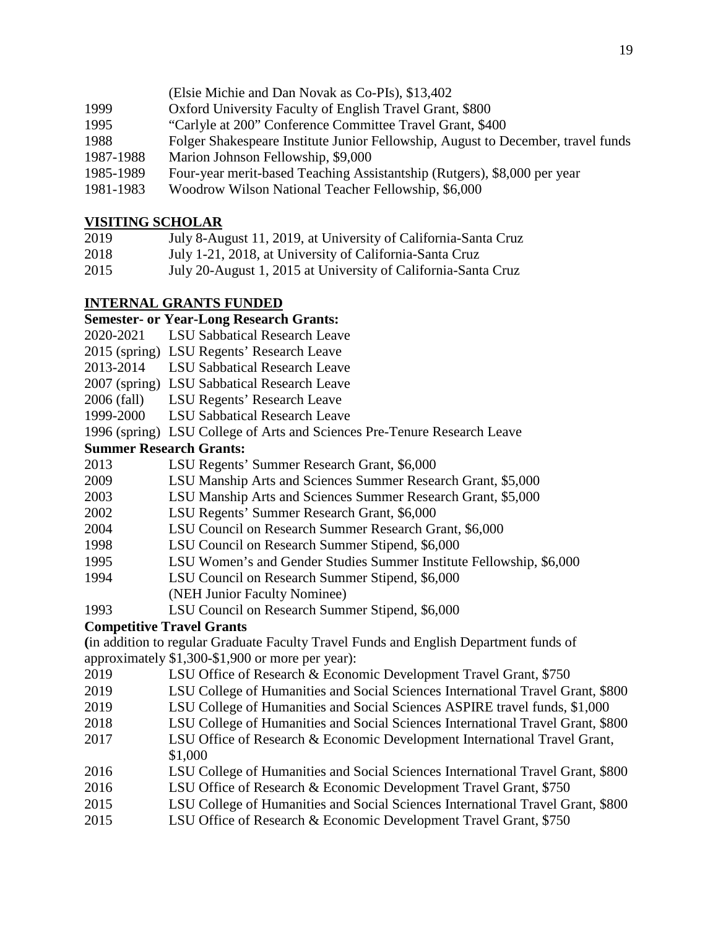- (Elsie Michie and Dan Novak as Co-PIs), \$13,402
- 1999 Oxford University Faculty of English Travel Grant, \$800
- 1995 "Carlyle at 200" Conference Committee Travel Grant, \$400
- 1988 Folger Shakespeare Institute Junior Fellowship, August to December, travel funds
- 1987-1988 Marion Johnson Fellowship, \$9,000
- 1985-1989 Four-year merit-based Teaching Assistantship (Rutgers), \$8,000 per year
- 1981-1983 Woodrow Wilson National Teacher Fellowship, \$6,000

## **VISITING SCHOLAR**

- 2019 July 8-August 11, 2019, at University of California-Santa Cruz
- 2018 July 1-21, 2018, at University of California-Santa Cruz
- 2015 July 20-August 1, 2015 at University of California-Santa Cruz

## **INTERNAL GRANTS FUNDED**

## **Semester- or Year-Long Research Grants:**

- 2020-2021 LSU Sabbatical Research Leave
- 2015 (spring) LSU Regents' Research Leave
- 2013-2014 LSU Sabbatical Research Leave
- 2007 (spring) LSU Sabbatical Research Leave
- 2006 (fall) LSU Regents' Research Leave
- 1999-2000 LSU Sabbatical Research Leave

1996 (spring) LSU College of Arts and Sciences Pre-Tenure Research Leave

## **Summer Research Grants:**

- 2013 LSU Regents' Summer Research Grant, \$6,000
- 2009 LSU Manship Arts and Sciences Summer Research Grant, \$5,000
- 2003 LSU Manship Arts and Sciences Summer Research Grant, \$5,000
- 2002 LSU Regents' Summer Research Grant, \$6,000
- 2004 LSU Council on Research Summer Research Grant, \$6,000
- 1998 LSU Council on Research Summer Stipend, \$6,000
- 1995 LSU Women's and Gender Studies Summer Institute Fellowship, \$6,000
- 1994 LSU Council on Research Summer Stipend, \$6,000 (NEH Junior Faculty Nominee)
- 1993 LSU Council on Research Summer Stipend, \$6,000

## **Competitive Travel Grants**

**(**in addition to regular Graduate Faculty Travel Funds and English Department funds of approximately \$1,300-\$1,900 or more per year):

- 2019 LSU Office of Research & Economic Development Travel Grant, \$750
- 2019 LSU College of Humanities and Social Sciences International Travel Grant, \$800
- 2019 LSU College of Humanities and Social Sciences ASPIRE travel funds, \$1,000
- 2018 LSU College of Humanities and Social Sciences International Travel Grant, \$800
- 2017 LSU Office of Research & Economic Development International Travel Grant, \$1,000
- 2016 LSU College of Humanities and Social Sciences International Travel Grant, \$800
- 2016 LSU Office of Research & Economic Development Travel Grant, \$750
- 2015 LSU College of Humanities and Social Sciences International Travel Grant, \$800
- 2015 LSU Office of Research & Economic Development Travel Grant, \$750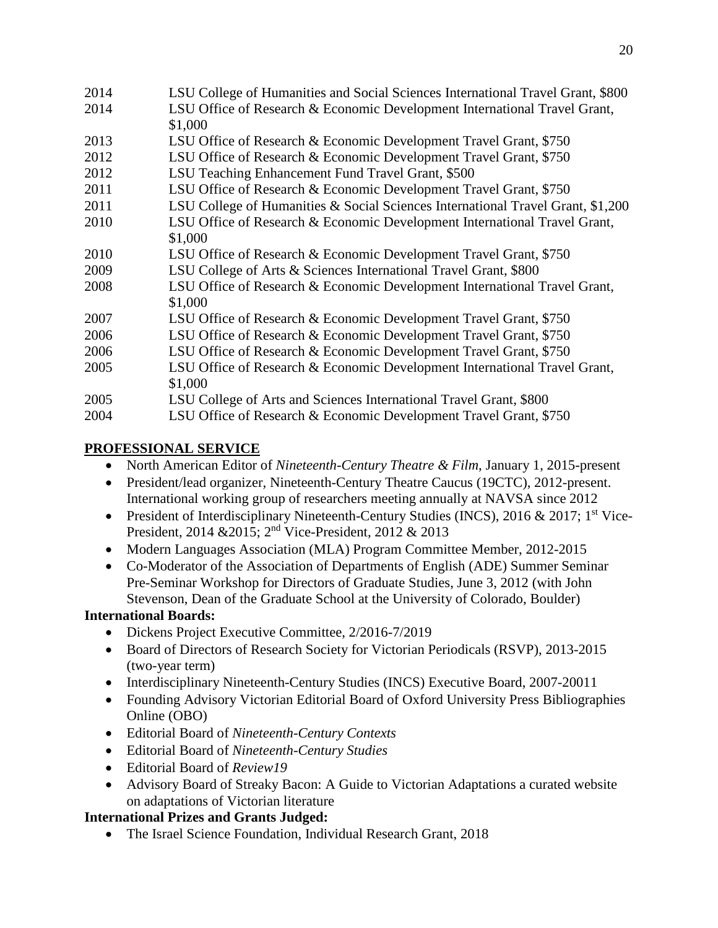| 2014 | LSU College of Humanities and Social Sciences International Travel Grant, \$800 |
|------|---------------------------------------------------------------------------------|
| 2014 | LSU Office of Research & Economic Development International Travel Grant,       |
|      | \$1,000                                                                         |
| 2013 | LSU Office of Research & Economic Development Travel Grant, \$750               |
| 2012 | LSU Office of Research & Economic Development Travel Grant, \$750               |
| 2012 | LSU Teaching Enhancement Fund Travel Grant, \$500                               |
| 2011 | LSU Office of Research & Economic Development Travel Grant, \$750               |
| 2011 | LSU College of Humanities & Social Sciences International Travel Grant, \$1,200 |
| 2010 | LSU Office of Research & Economic Development International Travel Grant,       |
|      | \$1,000                                                                         |
| 2010 | LSU Office of Research & Economic Development Travel Grant, \$750               |
| 2009 | LSU College of Arts & Sciences International Travel Grant, \$800                |
| 2008 | LSU Office of Research & Economic Development International Travel Grant,       |
|      | \$1,000                                                                         |
| 2007 | LSU Office of Research & Economic Development Travel Grant, \$750               |
| 2006 | LSU Office of Research & Economic Development Travel Grant, \$750               |
| 2006 | LSU Office of Research & Economic Development Travel Grant, \$750               |
| 2005 | LSU Office of Research & Economic Development International Travel Grant,       |
|      | \$1,000                                                                         |
| 2005 | LSU College of Arts and Sciences International Travel Grant, \$800              |
| 2004 | LSU Office of Research & Economic Development Travel Grant, \$750               |

## **PROFESSIONAL SERVICE**

- North American Editor of *Nineteenth-Century Theatre & Film*, January 1, 2015-present
- President/lead organizer, Nineteenth-Century Theatre Caucus (19CTC), 2012-present. International working group of researchers meeting annually at NAVSA since 2012
- President of Interdisciplinary Nineteenth-Century Studies (INCS), 2016 & 2017; 1<sup>st</sup> Vice-President, 2014 &2015; 2nd Vice-President, 2012 & 2013
- Modern Languages Association (MLA) Program Committee Member, 2012-2015
- Co-Moderator of the Association of Departments of English (ADE) Summer Seminar Pre-Seminar Workshop for Directors of Graduate Studies, June 3, 2012 (with John Stevenson, Dean of the Graduate School at the University of Colorado, Boulder)

## **International Boards:**

- Dickens Project Executive Committee, 2/2016-7/2019
- Board of Directors of Research Society for Victorian Periodicals (RSVP), 2013-2015 (two-year term)
- Interdisciplinary Nineteenth-Century Studies (INCS) Executive Board, 2007-20011
- Founding Advisory Victorian Editorial Board of Oxford University Press Bibliographies Online (OBO)
- Editorial Board of *Nineteenth-Century Contexts*
- Editorial Board of *Nineteenth-Century Studies*
- Editorial Board of *Review19*
- Advisory Board of Streaky Bacon: A Guide to Victorian Adaptations a curated website on adaptations of Victorian literature

# **International Prizes and Grants Judged:**

• The Israel Science Foundation, Individual Research Grant, 2018